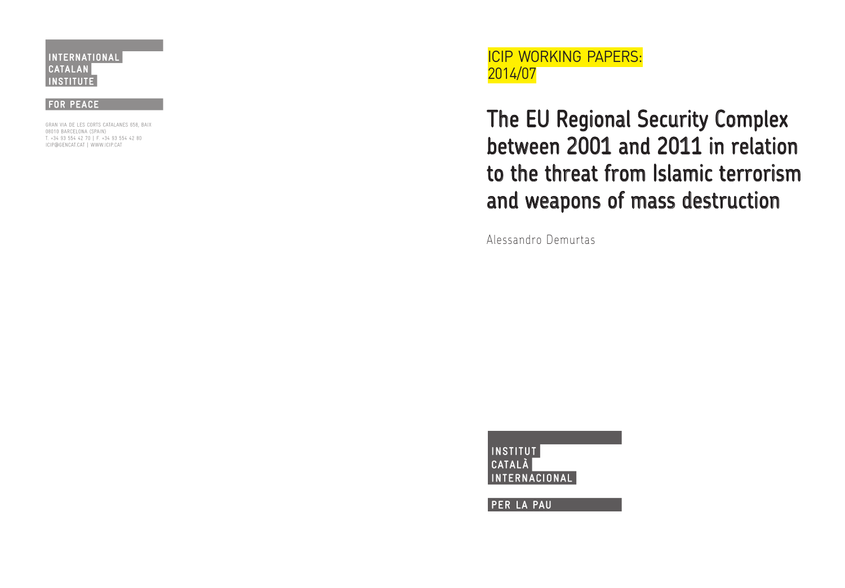ICIP WORKING PAPERS: 2014/07

# The EU Regional Security Complex between 2001 and 2011 in relation to the threat from Islamic terrorism and weapons of mass destruction

Alessandro Demurtas

**INSTITUT** CATALÀ ERNACIONAL

**PER LA PAU**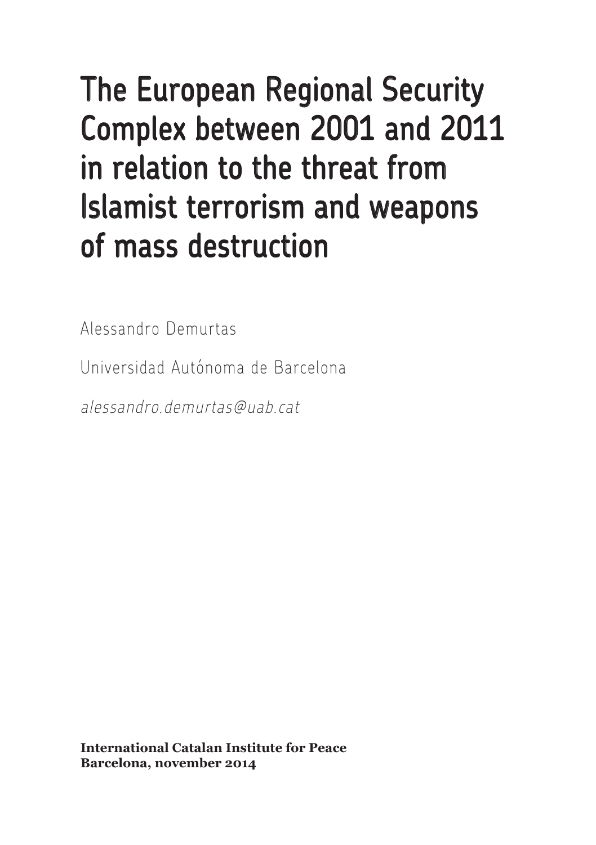# The European Regional Security Complex between 2001 and 2011 in relation to the threat from Islamist terrorism and weapons of mass destruction

Alessandro Demurtas

Universidad Autónoma de Barcelona

alessandro.demurtas@uab.cat

**International Catalan Institute for Peace Barcelona, november 2014**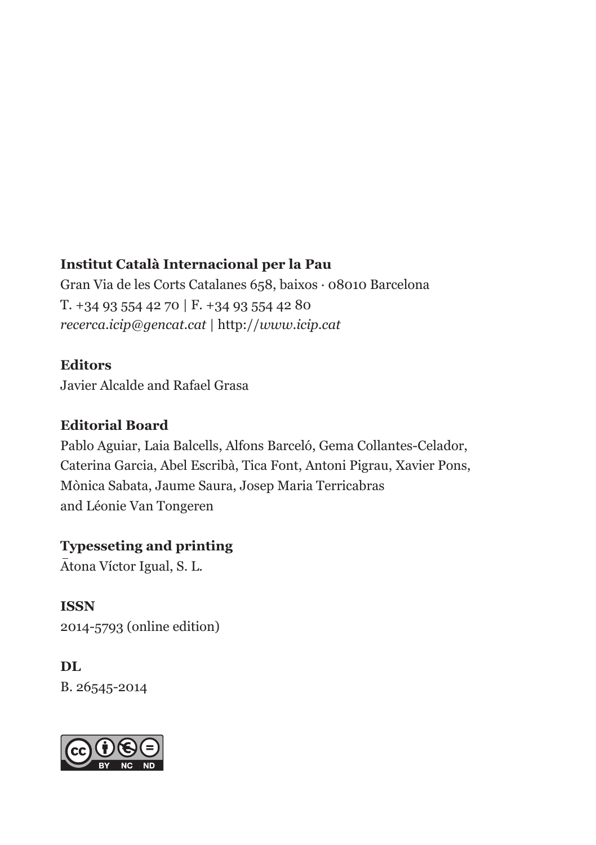#### **Institut Català Internacional per la Pau**

**Editores** T. +34 93 554 42 70 | F. +34 93 554 42 80 Javier Alcalde y Rafael Grasa *recerca.icip@gencat.cat* | http://*www.icip.cat* Gran Via de les Corts Catalanes 658, baixos · 08010 Barcelona

#### **Consejo Editorial Editors**

Javier Alcalde and Rafael Grasa

#### **Editorial Board**

Pablo Aguiar, Laia Balcells, Alfons Barceló, Gema Collantes-Celador, **Corrector** Mònica Sabata, Jaume Saura, Josep Maria Terricabras and Léonie Van Tongeren Caterina Garcia, Abel Escribà, Tica Font, Antoni Pigrau, Xavier Pons,

#### **Typesseting and printing**

Atona Víctor Igual, S. L.

**ISSN ISSN** 2014-5793 (online edition)

#### **DL DL** B. 26545-2014

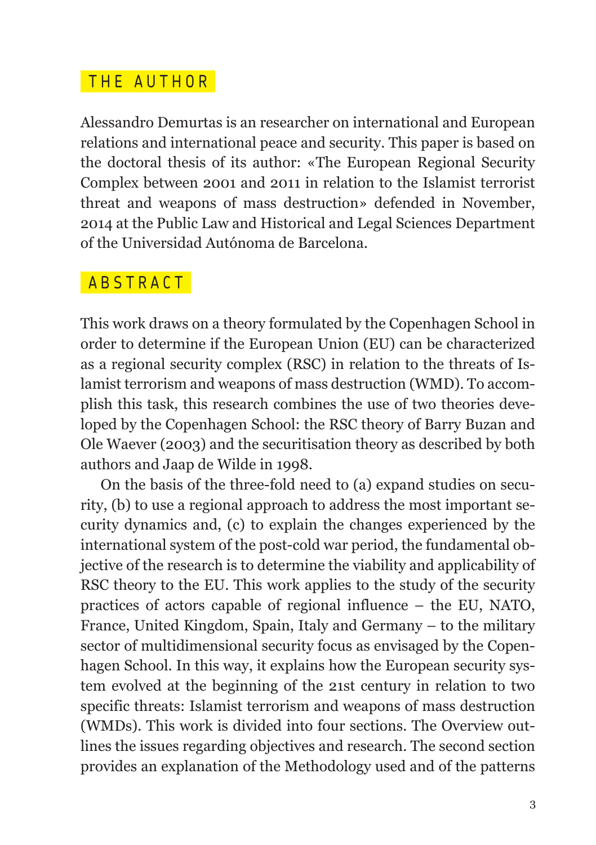#### THE AUTHOR

Alessandro Demurtas is an researcher on international and European relations and international peace and security. This paper is based on the doctoral thesis of its author: «The European Regional Security Complex between 2001 and 2011 in relation to the Islamist terrorist threat and weapons of mass destruction» defended in November, 2014 at the Public Law and Historical and Legal Sciences Department of the Universidad Autónoma de Barcelona.

#### ABSTRACT

This work draws on a theory formulated by the Copenhagen School in order to determine if the European Union (EU) can be characterized as a regional security complex (RSC) in relation to the threats of Islamist terrorism and weapons of mass destruction (WMD). To accomplish this task, this research combines the use of two theories developed by the Copenhagen School: the RSC theory of Barry Buzan and Ole Waever (2003) and the securitisation theory as described by both authors and Jaap de Wilde in 1998.

On the basis of the three-fold need to (a) expand studies on security, (b) to use a regional approach to address the most important security dynamics and, (c) to explain the changes experienced by the international system of the post-cold war period, the fundamental objective of the research is to determine the viability and applicability of RSC theory to the EU. This work applies to the study of the security practices of actors capable of regional influence – the EU, NATO, France, United Kingdom, Spain, Italy and Germany – to the military sector of multidimensional security focus as envisaged by the Copenhagen School. In this way, it explains how the European security system evolved at the beginning of the 21st century in relation to two specific threats: Islamist terrorism and weapons of mass destruction (WMDs). This work is divided into four sections. The Overview outlines the issues regarding objectives and research. The second section provides an explanation of the Methodology used and of the patterns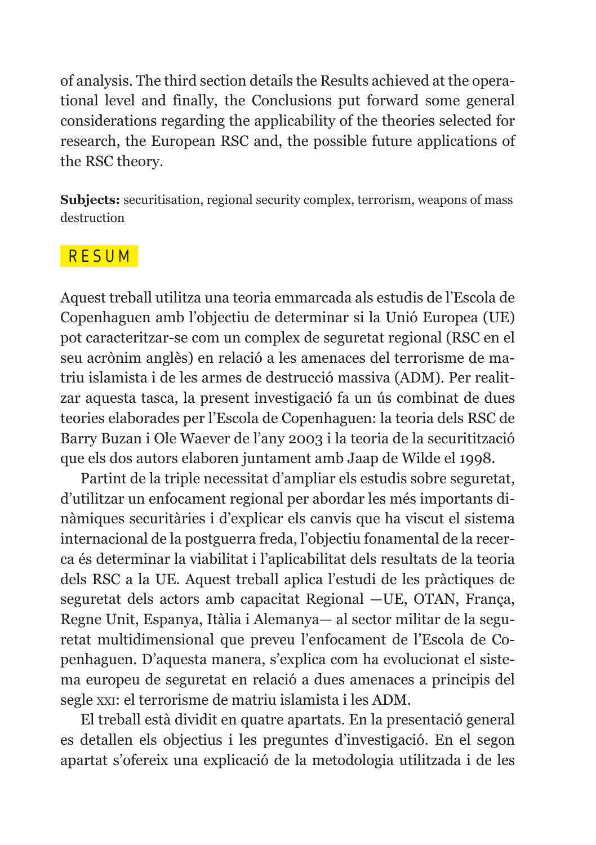of analysis. The third section details the Results achieved at the operational level and finally, the Conclusions put forward some general considerations regarding the applicability of the theories selected for research, the European RSC and, the possible future applications of the RSC theory.

**Subjects:** securitisation, regional security complex, terrorism, weapons of mass destruction

#### **RESUM**

Aquest treball utilitza una teoria emmarcada als estudis de l'Escola de Copenhaguen amb l'objectiu de determinar si la Unió Europea (UE) pot caracteritzar-se com un complex de seguretat regional (RSC en el seu acrònim anglès) en relació a les amenaces del terrorisme de matriu islamista i de les armes de destrucció massiva (ADM). Per realitzar aquesta tasca, la present investigació fa un ús combinat de dues teories elaborades per l'Escola de Copenhaguen: la teoria dels RSC de Barry Buzan i Ole Waever de l'any 2003 i la teoria de la securitització que els dos autors elaboren juntament amb Jaap de Wilde el 1998.

Partint de la triple necessitat d'ampliar els estudis sobre seguretat, d'utilitzar un enfocament regional per abordar les més importants dinàmiques securitàries i d'explicar els canvis que ha viscut el sistema internacional de la postguerra freda, l'objectiu fonamental de la recerca és determinar la viabilitat i l'aplicabilitat dels resultats de la teoria dels RSC a la UE. Aquest treball aplica l'estudi de les pràctiques de seguretat dels actors amb capacitat Regional —UE, OTAN, França, Regne Unit, Espanya, Itàlia i Alemanya— al sector militar de la seguretat multidimensional que preveu l'enfocament de l'Escola de Copenhaguen. D'aquesta manera, s'explica com ha evolucionat el sistema europeu de seguretat en relació a dues amenaces a principis del segle xxi: el terrorisme de matriu islamista i les ADM.

El treball està dividit en quatre apartats. En la presentació general es detallen els objectius i les preguntes d'investigació. En el segon apartat s'ofereix una explicació de la metodologia utilitzada i de les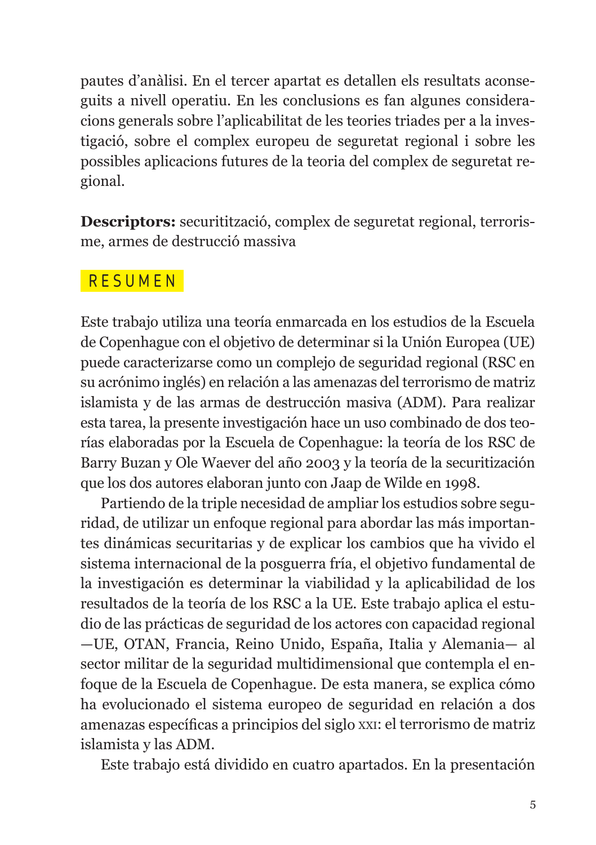pautes d'anàlisi. En el tercer apartat es detallen els resultats aconseguits a nivell operatiu. En les conclusions es fan algunes consideracions generals sobre l'aplicabilitat de les teories triades per a la investigació, sobre el complex europeu de seguretat regional i sobre les possibles aplicacions futures de la teoria del complex de seguretat regional.

**Descriptors:** securitització, complex de seguretat regional, terrorisme, armes de destrucció massiva

#### RESUMEN

Este trabajo utiliza una teoría enmarcada en los estudios de la Escuela de Copenhague con el objetivo de determinar si la Unión Europea (UE) puede caracterizarse como un complejo de seguridad regional (RSC en su acrónimo inglés) en relación a las amenazas del terrorismo de matriz islamista y de las armas de destrucción masiva (ADM). Para realizar esta tarea, la presente investigación hace un uso combinado de dos teorías elaboradas por la Escuela de Copenhague: la teoría de los RSC de Barry Buzan y Ole Waever del año 2003 y la teoría de la securitización que los dos autores elaboran junto con Jaap de Wilde en 1998.

Partiendo de la triple necesidad de ampliar los estudios sobre seguridad, de utilizar un enfoque regional para abordar las más importantes dinámicas securitarias y de explicar los cambios que ha vivido el sistema internacional de la posguerra fría, el objetivo fundamental de la investigación es determinar la viabilidad y la aplicabilidad de los resultados de la teoría de los RSC a la UE. Este trabajo aplica el estudio de las prácticas de seguridad de los actores con capacidad regional —UE, OTAN, Francia, Reino Unido, España, Italia y Alemania— al sector militar de la seguridad multidimensional que contempla el enfoque de la Escuela de Copenhague. De esta manera, se explica cómo ha evolucionado el sistema europeo de seguridad en relación a dos amenazas específicas a principios del siglo xxi: el terrorismo de matriz islamista y las ADM.

Este trabajo está dividido en cuatro apartados. En la presentación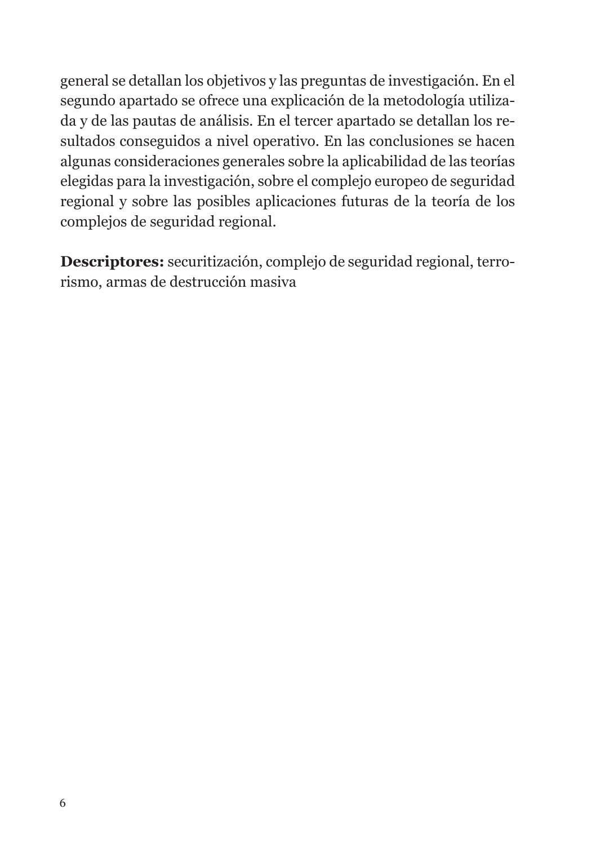general se detallan los objetivos y las preguntas de investigación. En el segundo apartado se ofrece una explicación de la metodología utilizada y de las pautas de análisis. En el tercer apartado se detallan los resultados conseguidos a nivel operativo. En las conclusiones se hacen algunas consideraciones generales sobre la aplicabilidad de las teorías elegidas para la investigación, sobre el complejo europeo de seguridad regional y sobre las posibles aplicaciones futuras de la teoría de los complejos de seguridad regional.

**Descriptores:** securitización, complejo de seguridad regional, terrorismo, armas de destrucción masiva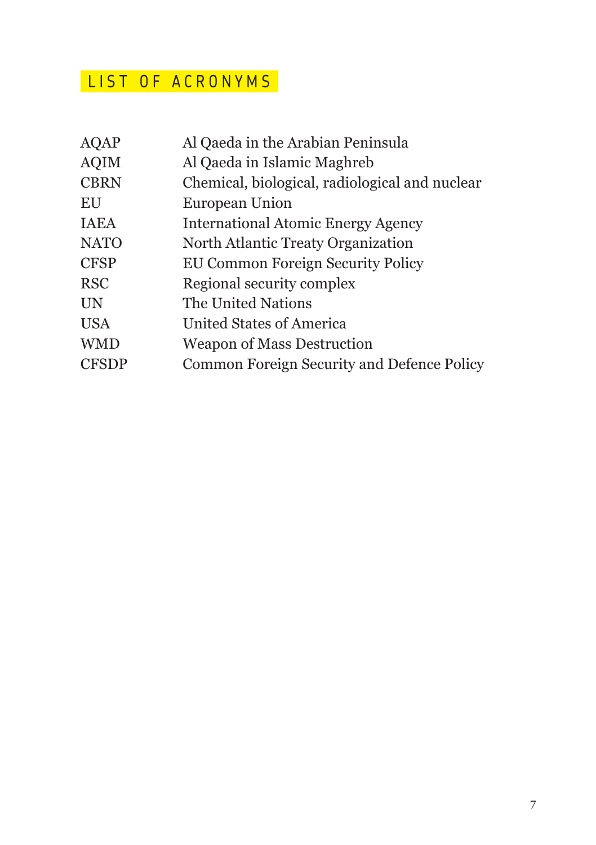## LIST OF ACRONYMS

| <b>AQAP</b>  | Al Qaeda in the Arabian Peninsula              |
|--------------|------------------------------------------------|
| <b>AQIM</b>  | Al Qaeda in Islamic Maghreb                    |
| <b>CBRN</b>  | Chemical, biological, radiological and nuclear |
| EU           | <b>European Union</b>                          |
| <b>IAEA</b>  | <b>International Atomic Energy Agency</b>      |
| <b>NATO</b>  | North Atlantic Treaty Organization             |
| <b>CFSP</b>  | EU Common Foreign Security Policy              |
| <b>RSC</b>   | Regional security complex                      |
| <b>UN</b>    | The United Nations                             |
| <b>USA</b>   | <b>United States of America</b>                |
| <b>WMD</b>   | <b>Weapon of Mass Destruction</b>              |
| <b>CFSDP</b> | Common Foreign Security and Defence Policy     |
|              |                                                |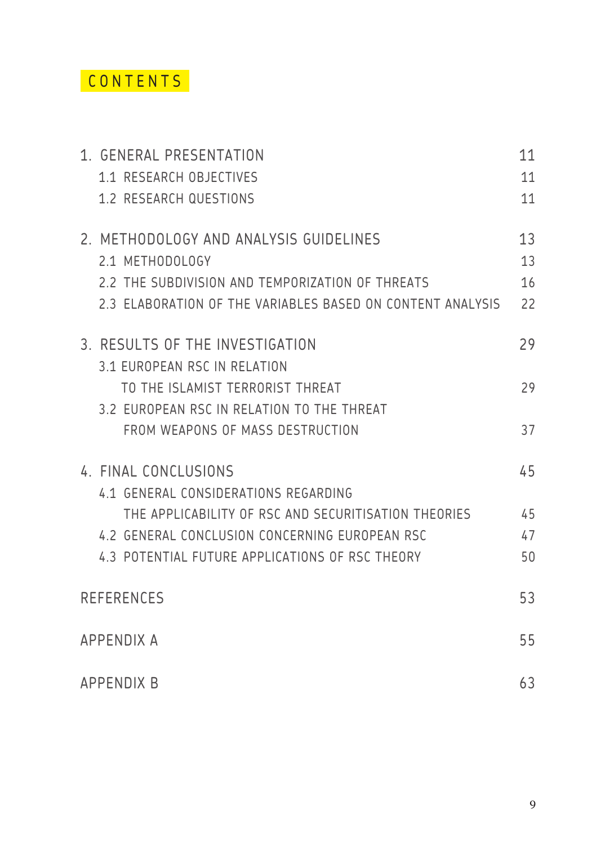### CONTENTS

| 1. GENERAL PRESENTATION                                    | 11 |
|------------------------------------------------------------|----|
| 1.1 RESEARCH OBJECTIVES                                    | 11 |
| 1.2 RESEARCH QUESTIONS                                     | 11 |
| 2. METHODOLOGY AND ANALYSIS GUIDELINES                     | 13 |
| 2.1 METHODOLOGY                                            | 13 |
| 2.2 THE SUBDIVISION AND TEMPORIZATION OF THREATS           | 16 |
| 2.3 ELABORATION OF THE VARIABLES BASED ON CONTENT ANALYSIS | 22 |
| 3. RESULTS OF THE INVESTIGATION                            | 29 |
| 31 FUROPEAN RSC IN RELATION                                |    |
| TO THE ISLAMIST TERRORIST THREAT                           | 29 |
| 3.2 EUROPEAN RSC IN RELATION TO THE THREAT                 |    |
| FROM WEAPONS OF MASS DESTRUCTION                           | 37 |
| 4 FINAL CONCLUSIONS                                        | 45 |
| 4.1 GENERAL CONSIDERATIONS REGARDING                       |    |
| THE APPLICABILITY OF RSC AND SECURITISATION THEORIES       | 45 |
| 4.2 GENERAL CONCLUSION CONCERNING EUROPEAN RSC             | 47 |
| 43 POTENTIAL FUTURE APPLICATIONS OF RSC THEORY             | 50 |
| <b>REFERENCES</b>                                          | 53 |
|                                                            |    |
| <b>APPENDIX A</b>                                          | 55 |
| <b>APPENDIX B</b>                                          | 63 |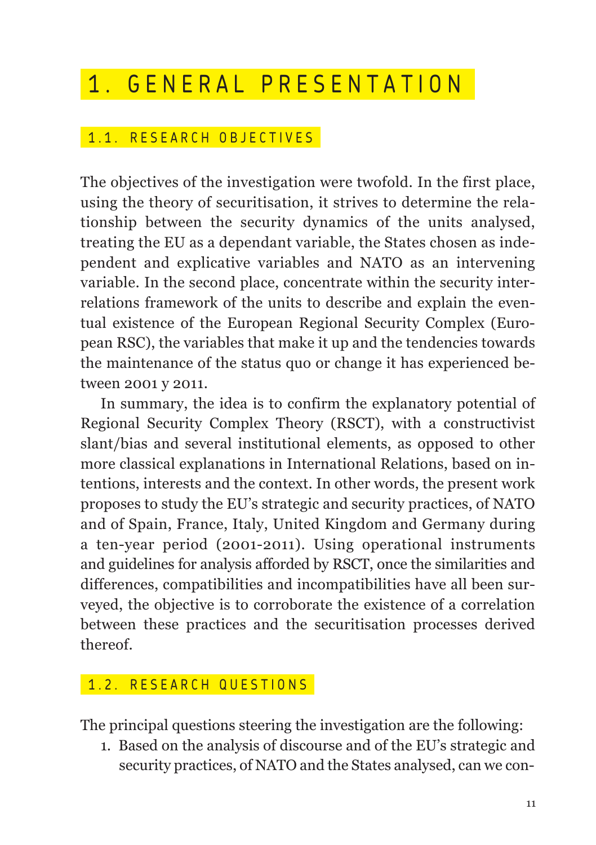## 1. GENERAL PRESENTATION

#### 1.1. RESEARCH OBJECTIVES

The objectives of the investigation were twofold. In the first place, using the theory of securitisation, it strives to determine the relationship between the security dynamics of the units analysed, treating the EU as a dependant variable, the States chosen as independent and explicative variables and NATO as an intervening variable. In the second place, concentrate within the security interrelations framework of the units to describe and explain the eventual existence of the European Regional Security Complex (European RSC), the variables that make it up and the tendencies towards the maintenance of the status quo or change it has experienced between 2001 y 2011.

In summary, the idea is to confirm the explanatory potential of Regional Security Complex Theory (RSCT), with a constructivist slant/bias and several institutional elements, as opposed to other more classical explanations in International Relations, based on intentions, interests and the context. In other words, the present work proposes to study the EU's strategic and security practices, of NATO and of Spain, France, Italy, United Kingdom and Germany during a ten-year period (2001-2011). Using operational instruments and guidelines for analysis afforded by RSCT, once the similarities and differences, compatibilities and incompatibilities have all been surveyed, the objective is to corroborate the existence of a correlation between these practices and the securitisation processes derived thereof.

#### 1.2. RESEARCH QUESTIONS

The principal questions steering the investigation are the following:

1. Based on the analysis of discourse and of the EU's strategic and security practices, of NATO and the States analysed, can we con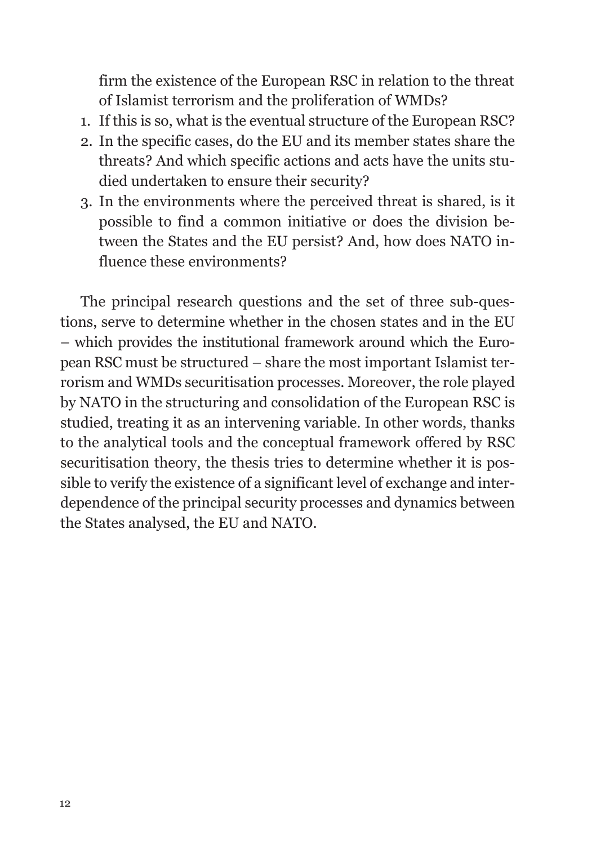firm the existence of the European RSC in relation to the threat of Islamist terrorism and the proliferation of WMDs?

- 1. If this is so, what is the eventual structure of the European RSC?
- 2. In the specific cases, do the EU and its member states share the threats? And which specific actions and acts have the units studied undertaken to ensure their security?
- 3. In the environments where the perceived threat is shared, is it possible to find a common initiative or does the division between the States and the EU persist? And, how does NATO influence these environments?

The principal research questions and the set of three sub-questions, serve to determine whether in the chosen states and in the EU – which provides the institutional framework around which the European RSC must be structured – share the most important Islamist terrorism and WMDs securitisation processes. Moreover, the role played by NATO in the structuring and consolidation of the European RSC is studied, treating it as an intervening variable. In other words, thanks to the analytical tools and the conceptual framework offered by RSC securitisation theory, the thesis tries to determine whether it is possible to verify the existence of a significant level of exchange and interdependence of the principal security processes and dynamics between the States analysed, the EU and NATO.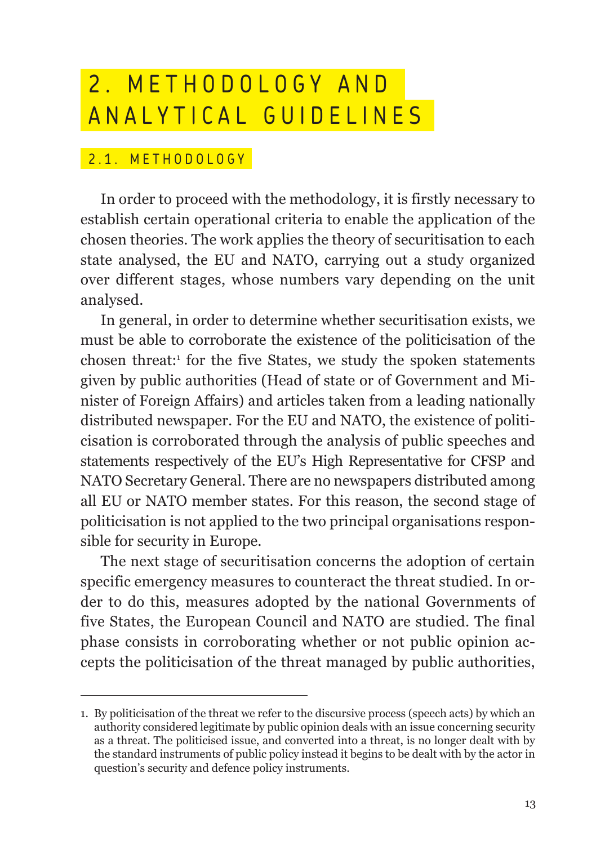## 2. METHODOLOGY AND ANALYTICAL GUIDELINES

#### 2.1. METHODOLOGY

In order to proceed with the methodology, it is firstly necessary to establish certain operational criteria to enable the application of the chosen theories. The work applies the theory of securitisation to each state analysed, the EU and NATO, carrying out a study organized over different stages, whose numbers vary depending on the unit analysed.

In general, in order to determine whether securitisation exists, we must be able to corroborate the existence of the politicisation of the chosen threat:<sup>1</sup> for the five States, we study the spoken statements given by public authorities (Head of state or of Government and Minister of Foreign Affairs) and articles taken from a leading nationally distributed newspaper. For the EU and NATO, the existence of politicisation is corroborated through the analysis of public speeches and statements respectively of the EU's High Representative for CFSP and NATO Secretary General. There are no newspapers distributed among all EU or NATO member states. For this reason, the second stage of politicisation is not applied to the two principal organisations responsible for security in Europe.

The next stage of securitisation concerns the adoption of certain specific emergency measures to counteract the threat studied. In order to do this, measures adopted by the national Governments of five States, the European Council and NATO are studied. The final phase consists in corroborating whether or not public opinion accepts the politicisation of the threat managed by public authorities,

<sup>1.</sup> By politicisation of the threat we refer to the discursive process (speech acts) by which an authority considered legitimate by public opinion deals with an issue concerning security as a threat. The politicised issue, and converted into a threat, is no longer dealt with by the standard instruments of public policy instead it begins to be dealt with by the actor in question's security and defence policy instruments.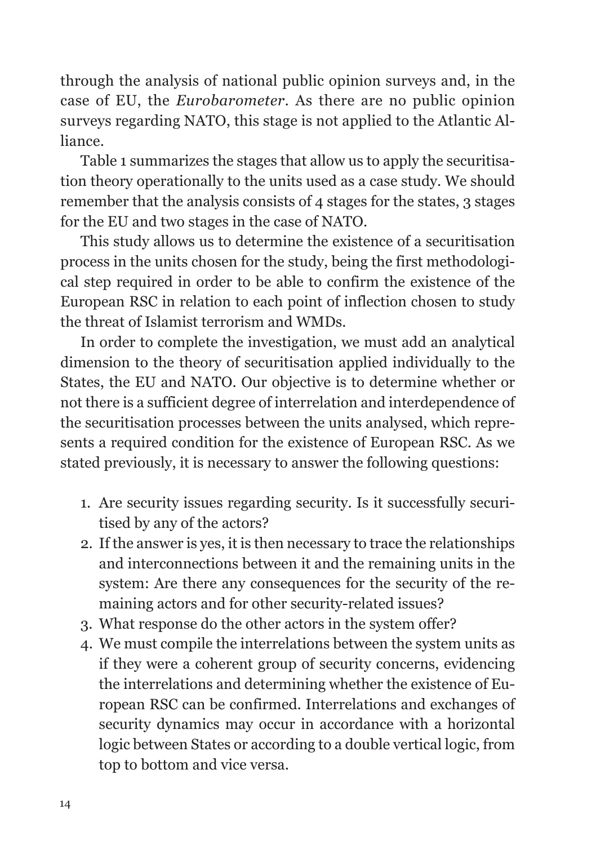through the analysis of national public opinion surveys and, in the case of EU, the *Eurobarometer.* As there are no public opinion surveys regarding NATO, this stage is not applied to the Atlantic Alliance.

Table 1 summarizes the stages that allow us to apply the securitisation theory operationally to the units used as a case study. We should remember that the analysis consists of 4 stages for the states, 3 stages for the EU and two stages in the case of NATO.

This study allows us to determine the existence of a securitisation process in the units chosen for the study, being the first methodological step required in order to be able to confirm the existence of the European RSC in relation to each point of inflection chosen to study the threat of Islamist terrorism and WMDs.

In order to complete the investigation, we must add an analytical dimension to the theory of securitisation applied individually to the States, the EU and NATO. Our objective is to determine whether or not there is a sufficient degree of interrelation and interdependence of the securitisation processes between the units analysed, which represents a required condition for the existence of European RSC. As we stated previously, it is necessary to answer the following questions:

- 1. Are security issues regarding security. Is it successfully securitised by any of the actors?
- 2. If the answer is yes, it is then necessary to trace the relationships and interconnections between it and the remaining units in the system: Are there any consequences for the security of the remaining actors and for other security-related issues?
- 3. What response do the other actors in the system offer?
- 4. We must compile the interrelations between the system units as if they were a coherent group of security concerns, evidencing the interrelations and determining whether the existence of European RSC can be confirmed. Interrelations and exchanges of security dynamics may occur in accordance with a horizontal logic between States or according to a double vertical logic, from top to bottom and vice versa.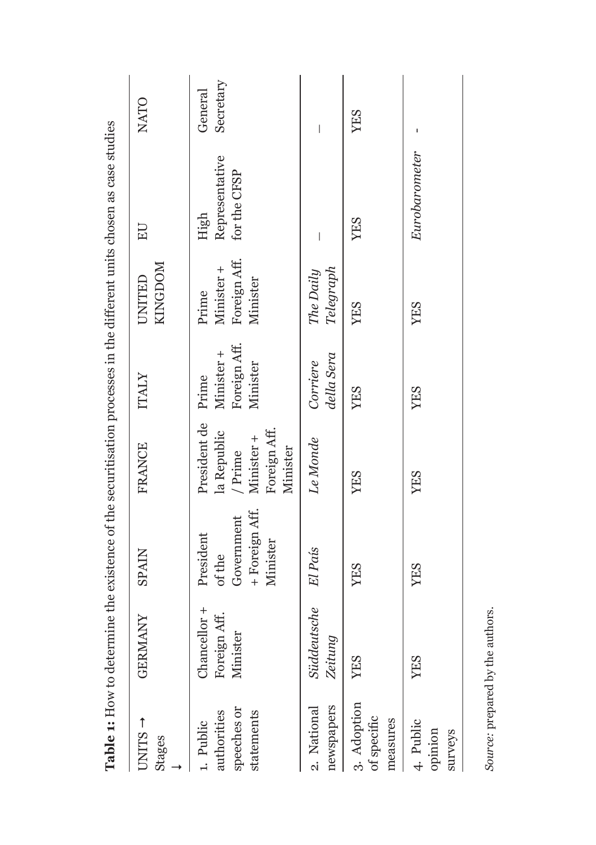|                                                       |                                          |                                                                 |                                                                                        |                                        |                                                 | THE CONSTRUCT OF THE CHARGE OF THE CONSTRUCTION OF THE CONSTRUCTION OF THE CONSTRUCTION OF THE CONSTRUCTION OF THE CONSTRUCTION OF THE CONSTRUCTION OF THE CONSTRUCTION OF THE CONSTRUCTION OF THE CONSTRUCTION OF THE CONSTRU |                      |
|-------------------------------------------------------|------------------------------------------|-----------------------------------------------------------------|----------------------------------------------------------------------------------------|----------------------------------------|-------------------------------------------------|--------------------------------------------------------------------------------------------------------------------------------------------------------------------------------------------------------------------------------|----------------------|
| $UNITS$ <sup>+</sup><br>Stages                        | <b>GERMANY</b>                           | <b>SPAIN</b>                                                    | <b>FRANCE</b>                                                                          | ITALY                                  | KINGDOM<br>UNITED                               | EU                                                                                                                                                                                                                             | NATO                 |
| speeches or<br>authorities<br>statements<br>1. Public | Chancellor +<br>Foreign Aff.<br>Minister | + Foreign Aff.<br>Government<br>President<br>Minister<br>of the | President de Prime<br>la Republic<br>Foreign Aff.<br>Minister +<br>Minister<br>/ Prime | Foreign Aff.<br>Minister +<br>Minister | Foreign Aff.<br>Minister +<br>Minister<br>Prime | Representative<br>for the CFSP<br>High                                                                                                                                                                                         | Secretary<br>General |
| newspapers<br>2. National                             | Süddeutsche El País<br>Zeitung           |                                                                 | Le Monde                                                                               | della Sera<br>Corriere                 | Telegraph<br>The Daily                          |                                                                                                                                                                                                                                | I                    |
| 3. Adoption<br>of specific<br>measures                | YES                                      | YES                                                             | <b>YES</b>                                                                             | <b>YES</b>                             | <b>YES</b>                                      | YES                                                                                                                                                                                                                            | YES                  |
| 4. Public<br>opinion<br>surveys                       | YES                                      | <b>YES</b>                                                      | <b>YES</b>                                                                             | <b>YES</b>                             | YES                                             | Eurobarometer                                                                                                                                                                                                                  |                      |
|                                                       |                                          |                                                                 |                                                                                        |                                        |                                                 |                                                                                                                                                                                                                                |                      |

**Table 1:** How to determine the existence of the securitisation processes in the different units chosen as case studies **Table 1:** How to determine the existence of the securitisation processes in the different units chosen as case studies

Source: prepared by the authors. *Source:* prepared by the authors.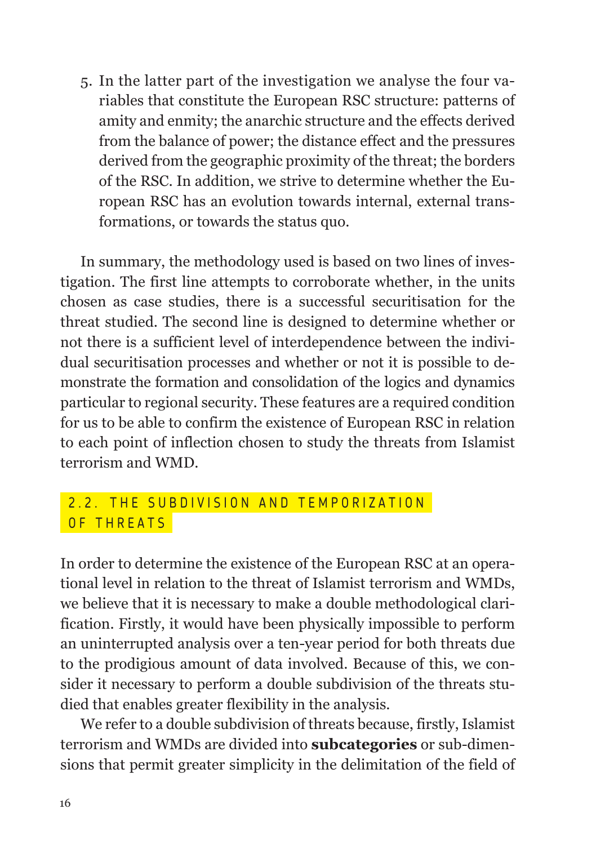5. In the latter part of the investigation we analyse the four variables that constitute the European RSC structure: patterns of amity and enmity; the anarchic structure and the effects derived from the balance of power; the distance effect and the pressures derived from the geographic proximity of the threat; the borders of the RSC. In addition, we strive to determine whether the European RSC has an evolution towards internal, external transformations, or towards the status quo.

In summary, the methodology used is based on two lines of investigation. The first line attempts to corroborate whether, in the units chosen as case studies, there is a successful securitisation for the threat studied. The second line is designed to determine whether or not there is a sufficient level of interdependence between the individual securitisation processes and whether or not it is possible to demonstrate the formation and consolidation of the logics and dynamics particular to regional security. These features are a required condition for us to be able to confirm the existence of European RSC in relation to each point of inflection chosen to study the threats from Islamist terrorism and WMD.

#### 2.2. THE SUBDIVISION AND TEMPORIZATION OF THREATS

In order to determine the existence of the European RSC at an operational level in relation to the threat of Islamist terrorism and WMDs, we believe that it is necessary to make a double methodological clarification. Firstly, it would have been physically impossible to perform an uninterrupted analysis over a ten-year period for both threats due to the prodigious amount of data involved. Because of this, we consider it necessary to perform a double subdivision of the threats studied that enables greater flexibility in the analysis.

We refer to a double subdivision of threats because, firstly, Islamist terrorism and WMDs are divided into **subcategories** or sub-dimensions that permit greater simplicity in the delimitation of the field of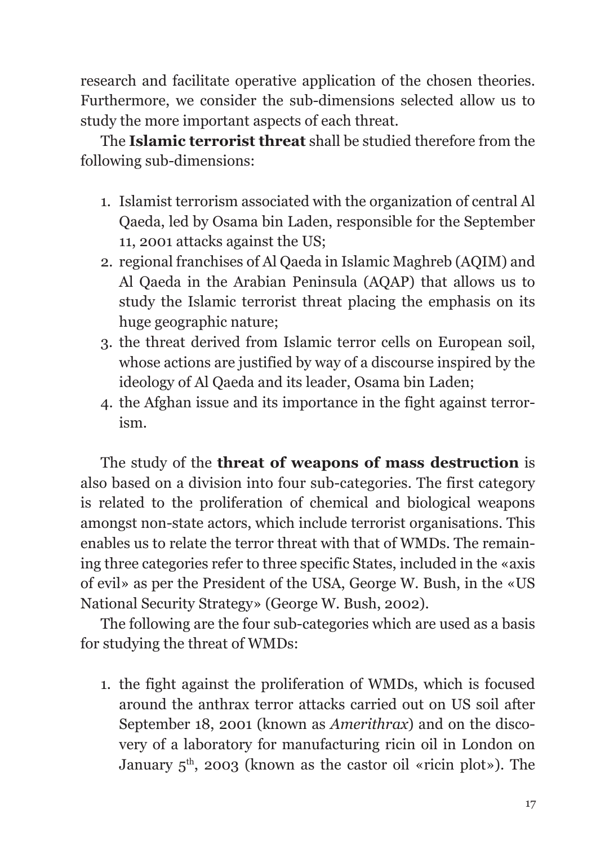research and facilitate operative application of the chosen theories. Furthermore, we consider the sub-dimensions selected allow us to study the more important aspects of each threat.

The **Islamic terrorist threat** shall be studied therefore from the following sub-dimensions:

- 1. Islamist terrorism associated with the organization of central Al Qaeda, led by Osama bin Laden, responsible for the September 11, 2001 attacks against the US;
- 2. regional franchises of Al Qaeda in Islamic Maghreb (AQIM) and Al Qaeda in the Arabian Peninsula (AQAP) that allows us to study the Islamic terrorist threat placing the emphasis on its huge geographic nature;
- 3. the threat derived from Islamic terror cells on European soil, whose actions are justified by way of a discourse inspired by the ideology of Al Qaeda and its leader, Osama bin Laden;
- 4. the Afghan issue and its importance in the fight against terrorism.

The study of the **threat of weapons of mass destruction** is also based on a division into four sub-categories. The first category is related to the proliferation of chemical and biological weapons amongst non-state actors, which include terrorist organisations. This enables us to relate the terror threat with that of WMDs. The remaining three categories refer to three specific States, included in the «axis of evil» as per the President of the USA, George W. Bush, in the «US National Security Strategy» (George W. Bush, 2002).

The following are the four sub-categories which are used as a basis for studying the threat of WMDs:

1. the fight against the proliferation of WMDs, which is focused around the anthrax terror attacks carried out on US soil after September 18, 2001 (known as *Amerithrax*) and on the discovery of a laboratory for manufacturing ricin oil in London on January  $5<sup>th</sup>$ , 2003 (known as the castor oil «ricin plot»). The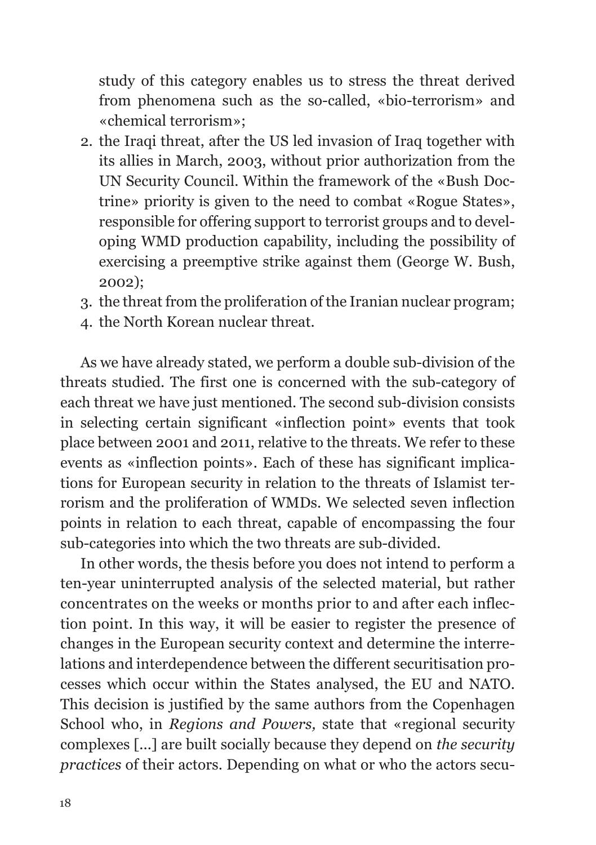study of this category enables us to stress the threat derived from phenomena such as the so-called, «bio-terrorism» and «chemical terrorism»;

- 2. the Iraqi threat, after the US led invasion of Iraq together with its allies in March, 2003, without prior authorization from the UN Security Council. Within the framework of the «Bush Doctrine» priority is given to the need to combat «Rogue States», responsible for offering support to terrorist groups and to developing WMD production capability, including the possibility of exercising a preemptive strike against them (George W. Bush, 2002);
- 3. the threat from the proliferation of the Iranian nuclear program;
- 4. the North Korean nuclear threat.

As we have already stated, we perform a double sub-division of the threats studied. The first one is concerned with the sub-category of each threat we have just mentioned. The second sub-division consists in selecting certain significant «inflection point» events that took place between 2001 and 2011, relative to the threats. We refer to these events as «inflection points». Each of these has significant implications for European security in relation to the threats of Islamist terrorism and the proliferation of WMDs. We selected seven inflection points in relation to each threat, capable of encompassing the four sub-categories into which the two threats are sub-divided.

In other words, the thesis before you does not intend to perform a ten-year uninterrupted analysis of the selected material, but rather concentrates on the weeks or months prior to and after each inflection point. In this way, it will be easier to register the presence of changes in the European security context and determine the interrelations and interdependence between the different securitisation processes which occur within the States analysed, the EU and NATO. This decision is justified by the same authors from the Copenhagen School who, in *Regions and Powers,* state that «regional security complexes [...] are built socially because they depend on *the security practices* of their actors. Depending on what or who the actors secu-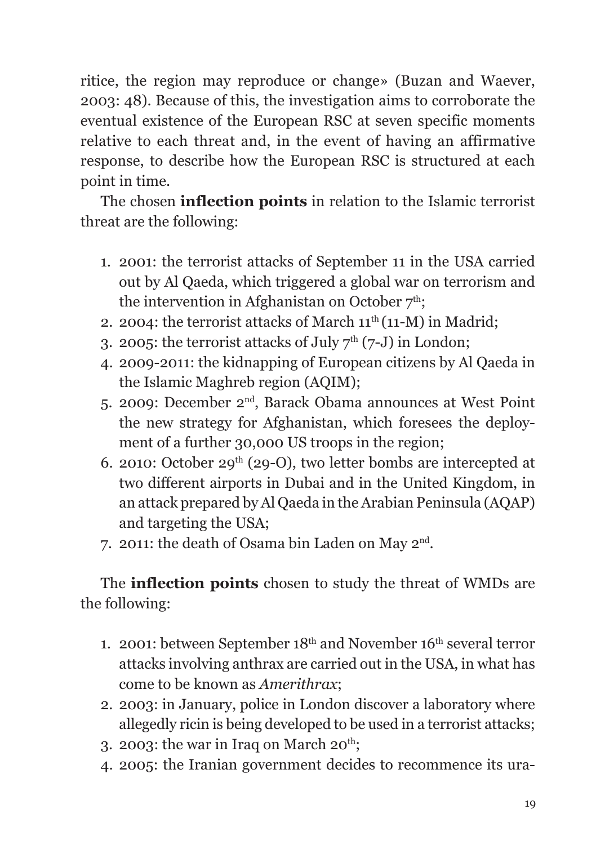ritice, the region may reproduce or change» (Buzan and Waever, 2003: 48). Because of this, the investigation aims to corroborate the eventual existence of the European RSC at seven specific moments relative to each threat and, in the event of having an affirmative response, to describe how the European RSC is structured at each point in time.

The chosen **inflection points** in relation to the Islamic terrorist threat are the following:

- 1. 2001: the terrorist attacks of September 11 in the USA carried out by Al Qaeda, which triggered a global war on terrorism and the intervention in Afghanistan on October  $7<sup>th</sup>$ ;
- 2. 2004: the terrorist attacks of March  $11^{th}(11-M)$  in Madrid:
- 3. 2005: the terrorist attacks of July  $7<sup>th</sup>$  (7-J) in London;
- 4. 2009-2011: the kidnapping of European citizens by Al Qaeda in the Islamic Maghreb region (AQIM);
- 5. 2009: December 2nd, Barack Obama announces at West Point the new strategy for Afghanistan, which foresees the deployment of a further 30,000 US troops in the region;
- 6. 2010: October 29<sup>th</sup> (29-O), two letter bombs are intercepted at two different airports in Dubai and in the United Kingdom, in an attack prepared by Al Qaeda in the Arabian Peninsula (AQAP) and targeting the USA;
- 7. 2011: the death of Osama bin Laden on May 2nd.

The **inflection points** chosen to study the threat of WMDs are the following:

- 1. 2001: between September  $18<sup>th</sup>$  and November  $16<sup>th</sup>$  several terror attacks involving anthrax are carried out in the USA, in what has come to be known as *Amerithrax*;
- 2. 2003: in January, police in London discover a laboratory where allegedly ricin is being developed to be used in a terrorist attacks;
- 3. 2003: the war in Iraq on March  $20^{th}$ :
- 4. 2005: the Iranian government decides to recommence its ura-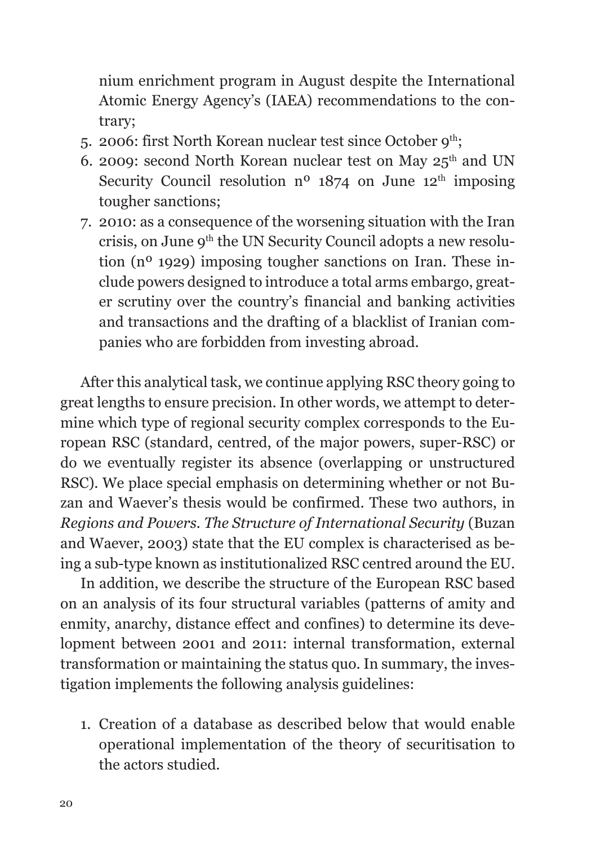nium enrichment program in August despite the International Atomic Energy Agency's (IAEA) recommendations to the contrary;

- 5. 2006: first North Korean nuclear test since October  $9^{th}$ ;
- 6. 2009: second North Korean nuclear test on May  $25<sup>th</sup>$  and UN Security Council resolution  $n^{\circ}$  1874 on June 12<sup>th</sup> imposing tougher sanctions;
- 7. 2010: as a consequence of the worsening situation with the Iran crisis, on June 9<sup>th</sup> the UN Security Council adopts a new resolution (nº 1929) imposing tougher sanctions on Iran. These include powers designed to introduce a total arms embargo, greater scrutiny over the country's financial and banking activities and transactions and the drafting of a blacklist of Iranian companies who are forbidden from investing abroad.

After this analytical task, we continue applying RSC theory going to great lengths to ensure precision. In other words, we attempt to determine which type of regional security complex corresponds to the European RSC (standard, centred, of the major powers, super-RSC) or do we eventually register its absence (overlapping or unstructured RSC). We place special emphasis on determining whether or not Buzan and Waever's thesis would be confirmed. These two authors, in *Regions and Powers. The Structure of International Security* (Buzan and Waever, 2003) state that the EU complex is characterised as being a sub-type known as institutionalized RSC centred around the EU.

In addition, we describe the structure of the European RSC based on an analysis of its four structural variables (patterns of amity and enmity, anarchy, distance effect and confines) to determine its development between 2001 and 2011: internal transformation, external transformation or maintaining the status quo. In summary, the investigation implements the following analysis guidelines:

1. Creation of a database as described below that would enable operational implementation of the theory of securitisation to the actors studied.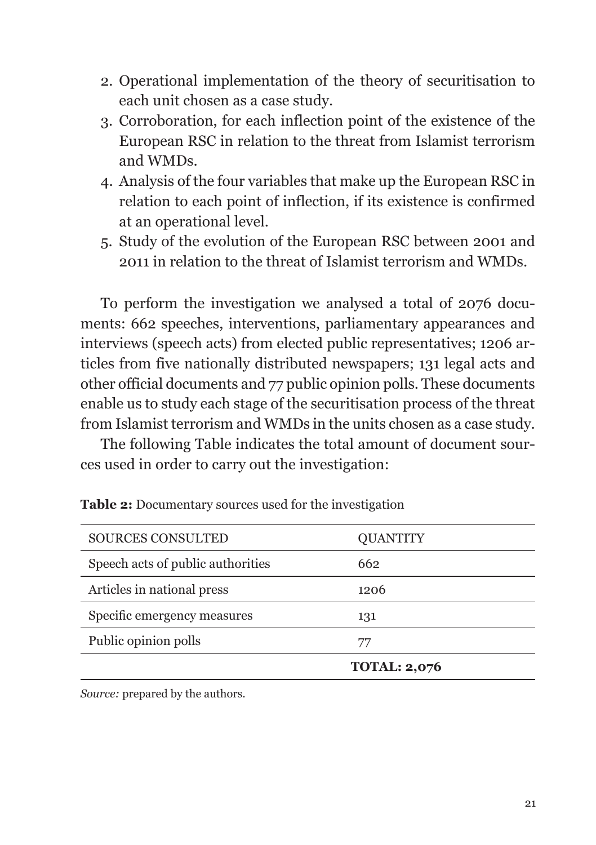- 2. Operational implementation of the theory of securitisation to each unit chosen as a case study.
- 3. Corroboration, for each inflection point of the existence of the European RSC in relation to the threat from Islamist terrorism and WMDs.
- 4. Analysis of the four variables that make up the European RSC in relation to each point of inflection, if its existence is confirmed at an operational level.
- 5. Study of the evolution of the European RSC between 2001 and 2011 in relation to the threat of Islamist terrorism and WMDs.

To perform the investigation we analysed a total of 2076 documents: 662 speeches, interventions, parliamentary appearances and interviews (speech acts) from elected public representatives; 1206 articles from five nationally distributed newspapers; 131 legal acts and other official documents and 77 public opinion polls. These documents enable us to study each stage of the securitisation process of the threat from Islamist terrorism and WMDs in the units chosen as a case study.

The following Table indicates the total amount of document sources used in order to carry out the investigation:

| <b>SOURCES CONSULTED</b>          | <b>OUANTITY</b>     |
|-----------------------------------|---------------------|
| Speech acts of public authorities | 662                 |
| Articles in national press        | 1206                |
| Specific emergency measures       | 131                 |
| Public opinion polls              | 77                  |
|                                   | <b>TOTAL: 2,076</b> |

| Table 2: Documentary sources used for the investigation |  |
|---------------------------------------------------------|--|
|---------------------------------------------------------|--|

*Source:* prepared by the authors.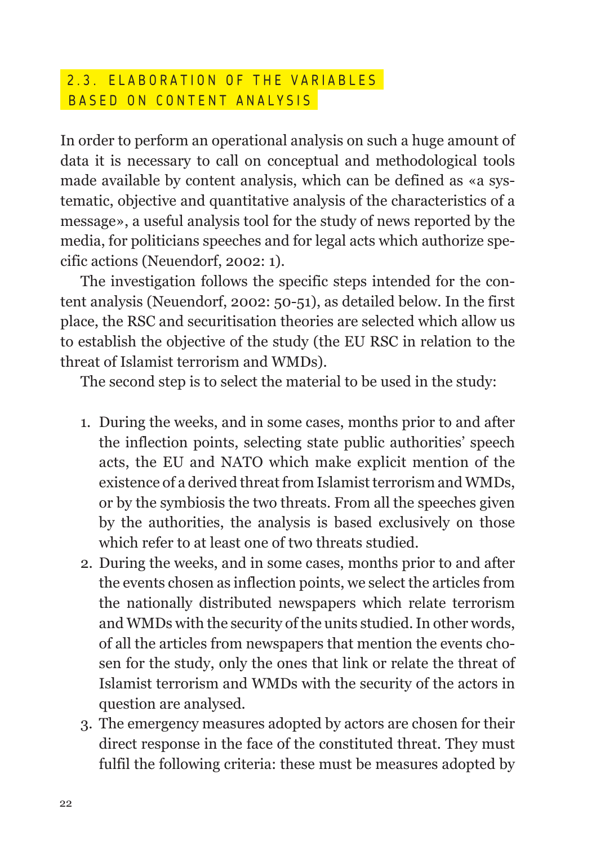#### 2.3. ELABORATION OF THE VARIABLES BASED ON CONTENT ANALYSIS

In order to perform an operational analysis on such a huge amount of data it is necessary to call on conceptual and methodological tools made available by content analysis, which can be defined as «a systematic, objective and quantitative analysis of the characteristics of a message», a useful analysis tool for the study of news reported by the media, for politicians speeches and for legal acts which authorize specific actions (Neuendorf, 2002: 1).

The investigation follows the specific steps intended for the content analysis (Neuendorf, 2002: 50-51), as detailed below. In the first place, the RSC and securitisation theories are selected which allow us to establish the objective of the study (the EU RSC in relation to the threat of Islamist terrorism and WMDs).

The second step is to select the material to be used in the study:

- 1. During the weeks, and in some cases, months prior to and after the inflection points, selecting state public authorities' speech acts, the EU and NATO which make explicit mention of the existence of a derived threat from Islamist terrorism and WMDs, or by the symbiosis the two threats. From all the speeches given by the authorities, the analysis is based exclusively on those which refer to at least one of two threats studied.
- 2. During the weeks, and in some cases, months prior to and after the events chosen as inflection points, we select the articles from the nationally distributed newspapers which relate terrorism and WMDs with the security of the units studied. In other words, of all the articles from newspapers that mention the events chosen for the study, only the ones that link or relate the threat of Islamist terrorism and WMDs with the security of the actors in question are analysed.
- 3. The emergency measures adopted by actors are chosen for their direct response in the face of the constituted threat. They must fulfil the following criteria: these must be measures adopted by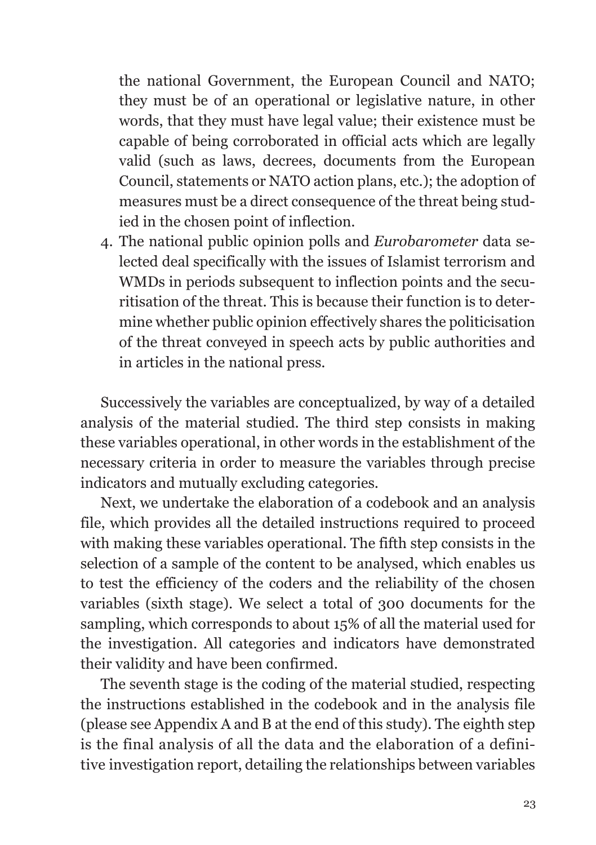the national Government, the European Council and NATO; they must be of an operational or legislative nature, in other words, that they must have legal value; their existence must be capable of being corroborated in official acts which are legally valid (such as laws, decrees, documents from the European Council, statements or NATO action plans, etc.); the adoption of measures must be a direct consequence of the threat being studied in the chosen point of inflection.

4. The national public opinion polls and *Eurobarometer* data selected deal specifically with the issues of Islamist terrorism and WMDs in periods subsequent to inflection points and the securitisation of the threat. This is because their function is to determine whether public opinion effectively shares the politicisation of the threat conveyed in speech acts by public authorities and in articles in the national press.

Successively the variables are conceptualized, by way of a detailed analysis of the material studied. The third step consists in making these variables operational, in other words in the establishment of the necessary criteria in order to measure the variables through precise indicators and mutually excluding categories.

Next, we undertake the elaboration of a codebook and an analysis file, which provides all the detailed instructions required to proceed with making these variables operational. The fifth step consists in the selection of a sample of the content to be analysed, which enables us to test the efficiency of the coders and the reliability of the chosen variables (sixth stage). We select a total of 300 documents for the sampling, which corresponds to about 15% of all the material used for the investigation. All categories and indicators have demonstrated their validity and have been confirmed.

The seventh stage is the coding of the material studied, respecting the instructions established in the codebook and in the analysis file (please see Appendix A and B at the end of this study). The eighth step is the final analysis of all the data and the elaboration of a definitive investigation report, detailing the relationships between variables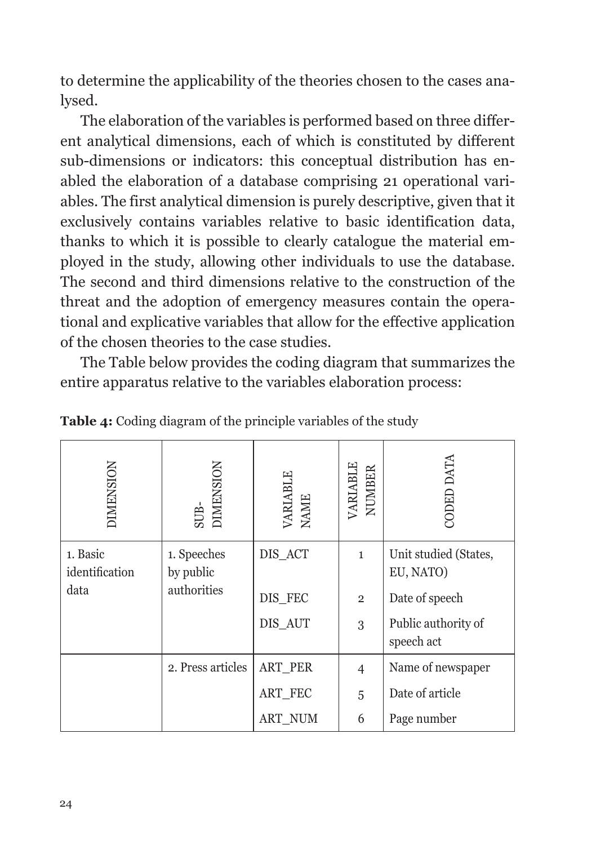to determine the applicability of the theories chosen to the cases analysed.

The elaboration of the variables is performed based on three different analytical dimensions, each of which is constituted by different sub-dimensions or indicators: this conceptual distribution has enabled the elaboration of a database comprising 21 operational variables. The first analytical dimension is purely descriptive, given that it exclusively contains variables relative to basic identification data, thanks to which it is possible to clearly catalogue the material employed in the study, allowing other individuals to use the database. The second and third dimensions relative to the construction of the threat and the adoption of emergency measures contain the operational and explicative variables that allow for the effective application of the chosen theories to the case studies.

The Table below provides the coding diagram that summarizes the entire apparatus relative to the variables elaboration process:

| <b>DIMENSION</b>                   | <b>DIMENSION</b><br>SUB-                | VARIABLE<br>NAME              | VARIABLE<br>NUMBER                  | CODED DATA                                                                                |
|------------------------------------|-----------------------------------------|-------------------------------|-------------------------------------|-------------------------------------------------------------------------------------------|
| 1. Basic<br>identification<br>data | 1. Speeches<br>by public<br>authorities | DIS_ACT<br>DIS_FEC<br>DIS_AUT | $\mathbf{1}$<br>$\overline{2}$<br>3 | Unit studied (States,<br>EU, NATO)<br>Date of speech<br>Public authority of<br>speech act |
|                                    | 2. Press articles                       | <b>ART PER</b><br>ART_FEC     | $\overline{4}$                      | Name of newspaper<br>Date of article                                                      |
|                                    |                                         | <b>ART_NUM</b>                | 5<br>6                              | Page number                                                                               |

**Table 4:** Coding diagram of the principle variables of the study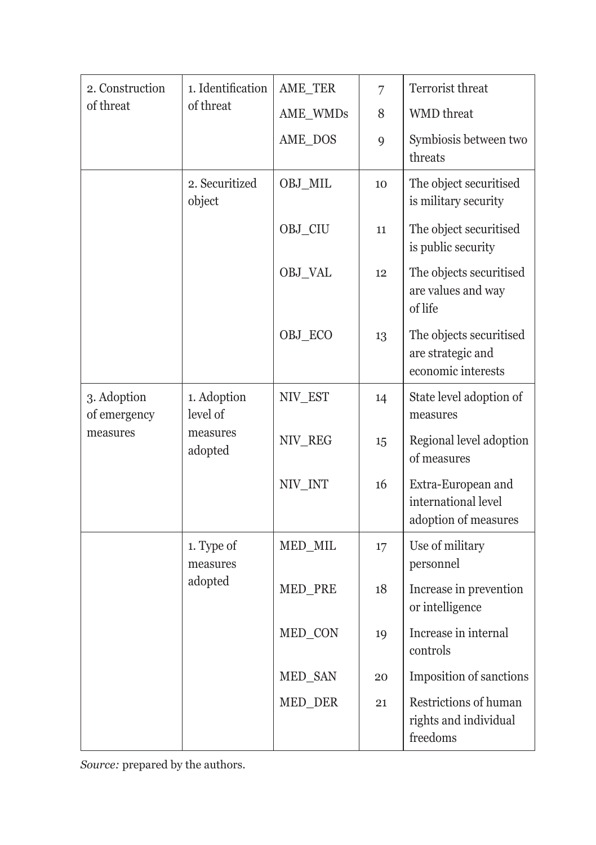| 2. Construction             | 1. Identification        | AME_TER  | $\overline{7}$ | Terrorist threat                                                   |
|-----------------------------|--------------------------|----------|----------------|--------------------------------------------------------------------|
| of threat                   | of threat                | AME_WMDs | 8              | <b>WMD</b> threat                                                  |
|                             |                          | AME_DOS  | 9              | Symbiosis between two<br>threats                                   |
|                             | 2. Securitized<br>object | OBJ_MIL  | 10             | The object securitised<br>is military security                     |
|                             |                          | OBJ_CIU  | 11             | The object securitised<br>is public security                       |
|                             |                          | OBJ_VAL  | 12             | The objects securitised<br>are values and way<br>of life           |
|                             |                          | OBJ_ECO  | 13             | The objects securitised<br>are strategic and<br>economic interests |
| 3. Adoption<br>of emergency | 1. Adoption<br>level of  | NIV_EST  | 14             | State level adoption of<br>measures                                |
| measures                    | measures<br>adopted      | NIV_REG  | 15             | Regional level adoption<br>of measures                             |
|                             |                          | NIV_INT  | 16             | Extra-European and<br>international level<br>adoption of measures  |
|                             | 1. Type of<br>measures   | MED_MIL  | 17             | Use of military<br>personnel                                       |
|                             | adopted                  | MED_PRE  | 18             | Increase in prevention<br>or intelligence                          |
|                             |                          | MED_CON  | 19             | Increase in internal<br>controls                                   |
|                             |                          | MED_SAN  | 20             | Imposition of sanctions                                            |
|                             |                          | MED_DER  | 21             | Restrictions of human<br>rights and individual<br>freedoms         |

*Source:* prepared by the authors.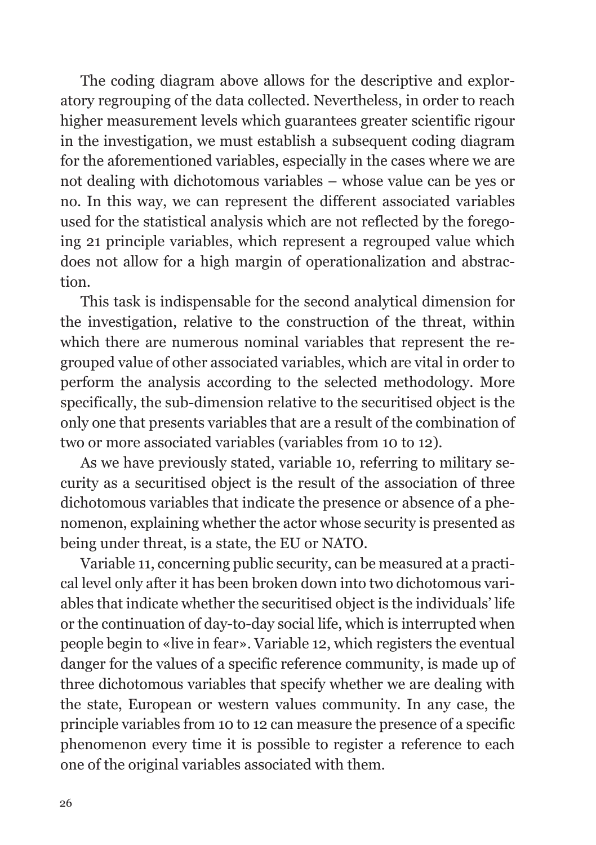The coding diagram above allows for the descriptive and exploratory regrouping of the data collected. Nevertheless, in order to reach higher measurement levels which guarantees greater scientific rigour in the investigation, we must establish a subsequent coding diagram for the aforementioned variables, especially in the cases where we are not dealing with dichotomous variables – whose value can be yes or no. In this way, we can represent the different associated variables used for the statistical analysis which are not reflected by the foregoing 21 principle variables, which represent a regrouped value which does not allow for a high margin of operationalization and abstraction.

This task is indispensable for the second analytical dimension for the investigation, relative to the construction of the threat, within which there are numerous nominal variables that represent the regrouped value of other associated variables, which are vital in order to perform the analysis according to the selected methodology. More specifically, the sub-dimension relative to the securitised object is the only one that presents variables that are a result of the combination of two or more associated variables (variables from 10 to 12).

As we have previously stated, variable 10, referring to military security as a securitised object is the result of the association of three dichotomous variables that indicate the presence or absence of a phenomenon, explaining whether the actor whose security is presented as being under threat, is a state, the EU or NATO.

Variable 11, concerning public security, can be measured at a practical level only after it has been broken down into two dichotomous variables that indicate whether the securitised object is the individuals' life or the continuation of day-to-day social life, which is interrupted when people begin to «live in fear». Variable 12, which registers the eventual danger for the values of a specific reference community, is made up of three dichotomous variables that specify whether we are dealing with the state, European or western values community. In any case, the principle variables from 10 to 12 can measure the presence of a specific phenomenon every time it is possible to register a reference to each one of the original variables associated with them.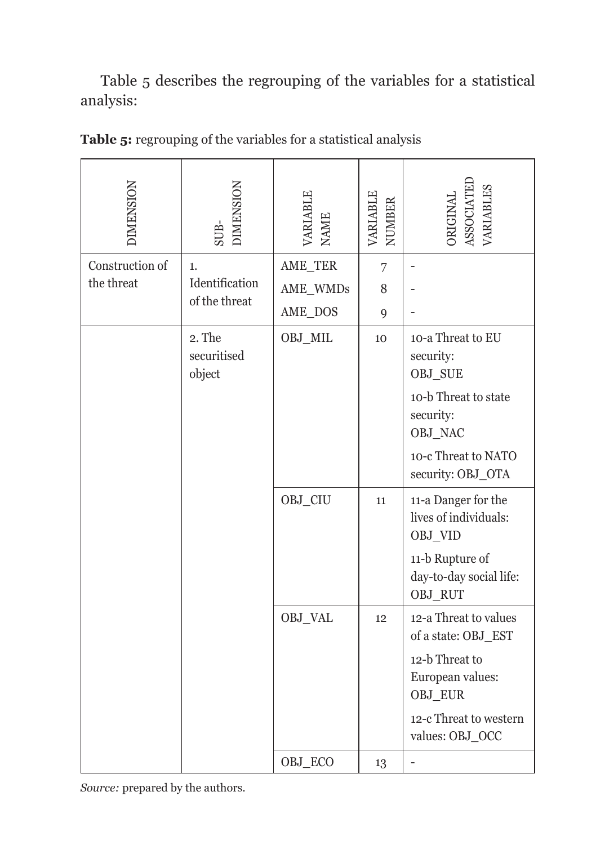Table 5 describes the regrouping of the variables for a statistical analysis:

| <b>DIMENSION</b> | <b>DIMENSION</b><br>$SUB-$      | <b>ARIABLE</b><br><b>NAME</b> | VARIABLE<br>NUMBER | ORIGINAL<br>ASSOCIATEI<br><b>ARIABLES</b>                                                                                                  |
|------------------|---------------------------------|-------------------------------|--------------------|--------------------------------------------------------------------------------------------------------------------------------------------|
| Construction of  | 1.                              | AME_TER                       | 7                  | ÷                                                                                                                                          |
| the threat       | Identification                  | AME_WMDs                      | 8                  |                                                                                                                                            |
|                  | of the threat                   | AME_DOS                       | 9                  |                                                                                                                                            |
|                  | 2. The<br>securitised<br>object | OBJ_MIL                       | 10                 | 10-a Threat to EU<br>security:<br>OBJ SUE<br>10-b Threat to state<br>security:<br>OBJ_NAC<br>10-c Threat to NATO<br>security: OBJ_OTA      |
|                  |                                 | OBJ_CIU                       | 11                 | 11-a Danger for the<br>lives of individuals:<br>OBJ_VID<br>11-b Rupture of<br>day-to-day social life:<br>OBJ_RUT                           |
|                  |                                 | OBJ_VAL                       | 12                 | 12-a Threat to values<br>of a state: OBJ_EST<br>12-b Threat to<br>European values:<br>OBJ_EUR<br>12-c Threat to western<br>values: OBJ_OCC |
|                  |                                 | OBJ_ECO                       | 13                 |                                                                                                                                            |

**Table 5:** regrouping of the variables for a statistical analysis

*Source:* prepared by the authors.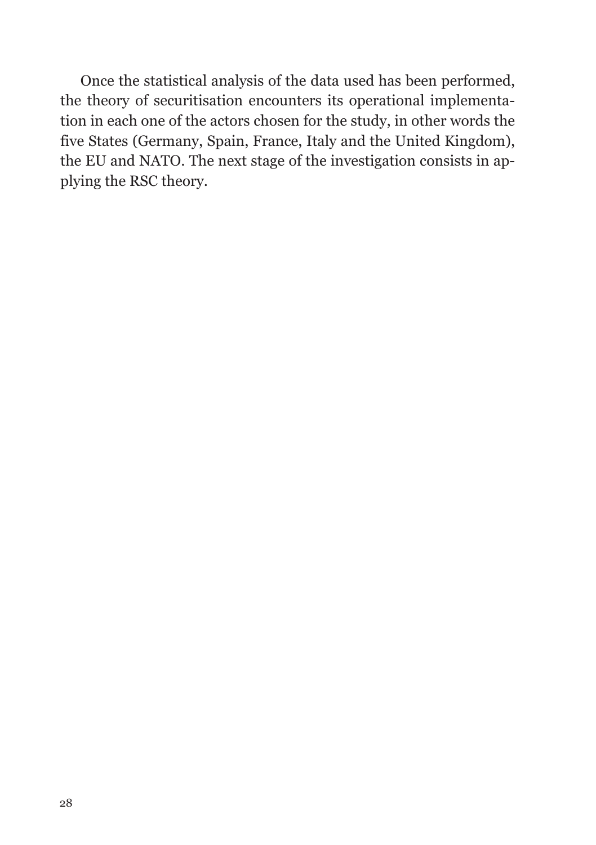Once the statistical analysis of the data used has been performed, the theory of securitisation encounters its operational implementation in each one of the actors chosen for the study, in other words the five States (Germany, Spain, France, Italy and the United Kingdom), the EU and NATO. The next stage of the investigation consists in applying the RSC theory.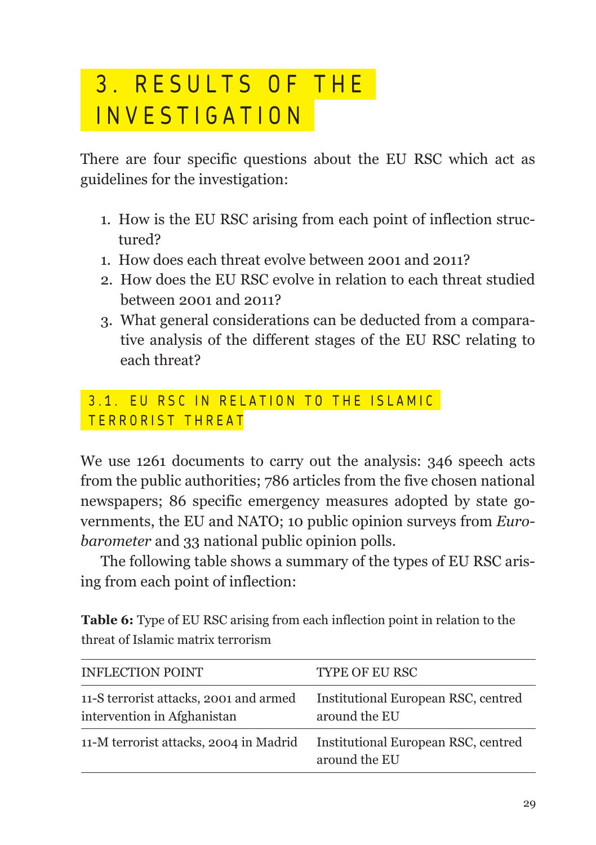## 3. RESULTS OF THE INVESTIGATION

There are four specific questions about the EU RSC which act as guidelines for the investigation:

- 1. How is the EU RSC arising from each point of inflection structured?
- 1. How does each threat evolve between 2001 and 2011?
- 2. How does the EU RSC evolve in relation to each threat studied between 2001 and 2011?
- 3. What general considerations can be deducted from a comparative analysis of the different stages of the EU RSC relating to each threat?

3.1. EU RSC IN RELATION TO THE ISLAMIC TERRORIST THREAT

We use 1261 documents to carry out the analysis: 346 speech acts from the public authorities; 786 articles from the five chosen national newspapers; 86 specific emergency measures adopted by state governments, the EU and NATO; 10 public opinion surveys from *Eurobarometer* and 33 national public opinion polls.

The following table shows a summary of the types of EU RSC arising from each point of inflection:

**Table 6:** Type of EU RSC arising from each inflection point in relation to the threat of Islamic matrix terrorism

| <b>INFLECTION POINT</b>                                               | <b>TYPE OF EU RSC</b>                                |
|-----------------------------------------------------------------------|------------------------------------------------------|
| 11-S terrorist attacks, 2001 and armed<br>intervention in Afghanistan | Institutional European RSC, centred<br>around the EU |
| 11-M terrorist attacks, 2004 in Madrid                                | Institutional European RSC, centred<br>around the EU |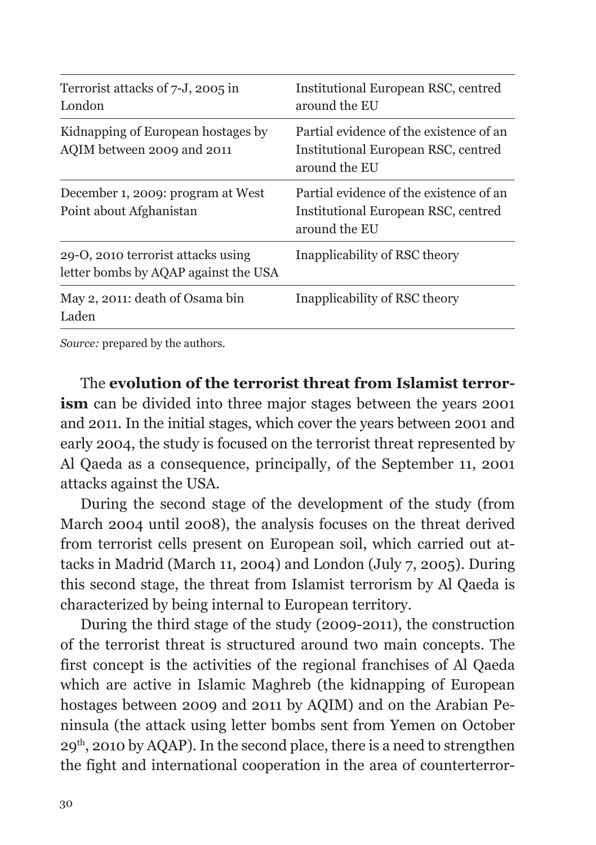| Terrorist attacks of 7-J, 2005 in<br>London                                | Institutional European RSC, centred<br>around the EU                                            |
|----------------------------------------------------------------------------|-------------------------------------------------------------------------------------------------|
| Kidnapping of European hostages by<br>AQIM between 2009 and 2011           | Partial evidence of the existence of an<br>Institutional European RSC, centred<br>around the EU |
| December 1, 2009: program at West<br>Point about Afghanistan               | Partial evidence of the existence of an<br>Institutional European RSC, centred<br>around the EU |
| 29-O, 2010 terrorist attacks using<br>letter bombs by AQAP against the USA | Inapplicability of RSC theory                                                                   |
| May 2, 2011: death of Osama bin<br>Laden                                   | Inapplicability of RSC theory                                                                   |

*Source:* prepared by the authors.

The **evolution of the terrorist threat from Islamist terrorism** can be divided into three major stages between the years 2001 and 2011. In the initial stages, which cover the years between 2001 and early 2004, the study is focused on the terrorist threat represented by Al Qaeda as a consequence, principally, of the September 11, 2001 attacks against the USA.

During the second stage of the development of the study (from March 2004 until 2008), the analysis focuses on the threat derived from terrorist cells present on European soil, which carried out attacks in Madrid (March 11, 2004) and London (July 7, 2005). During this second stage, the threat from Islamist terrorism by Al Qaeda is characterized by being internal to European territory.

During the third stage of the study (2009-2011), the construction of the terrorist threat is structured around two main concepts. The first concept is the activities of the regional franchises of Al Qaeda which are active in Islamic Maghreb (the kidnapping of European hostages between 2009 and 2011 by AQIM) and on the Arabian Peninsula (the attack using letter bombs sent from Yemen on October 29th, 2010 by AQAP). In the second place, there is a need to strengthen the fight and international cooperation in the area of counterterror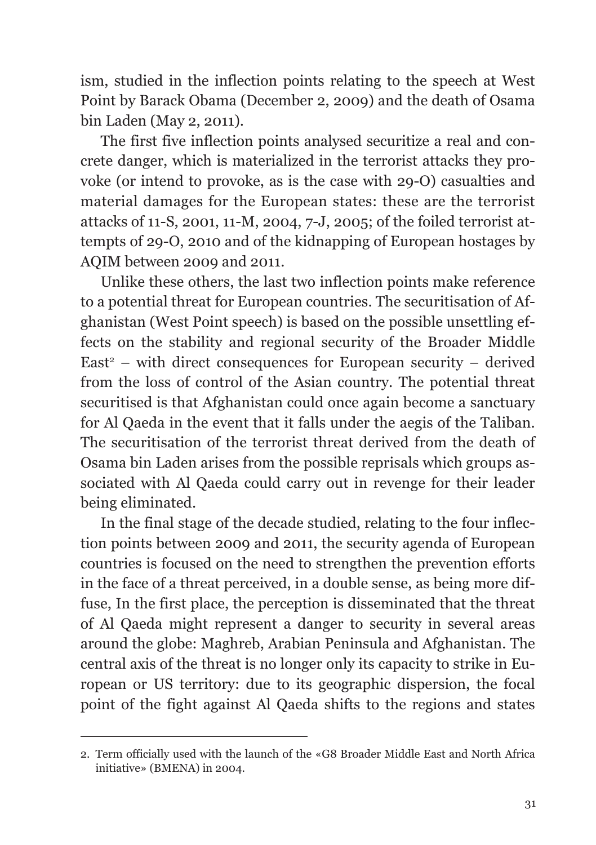ism, studied in the inflection points relating to the speech at West Point by Barack Obama (December 2, 2009) and the death of Osama bin Laden (May 2, 2011).

The first five inflection points analysed securitize a real and concrete danger, which is materialized in the terrorist attacks they provoke (or intend to provoke, as is the case with 29-O) casualties and material damages for the European states: these are the terrorist attacks of 11-S, 2001, 11-M, 2004, 7-J, 2005; of the foiled terrorist attempts of 29-O, 2010 and of the kidnapping of European hostages by AQIM between 2009 and 2011.

Unlike these others, the last two inflection points make reference to a potential threat for European countries. The securitisation of Afghanistan (West Point speech) is based on the possible unsettling effects on the stability and regional security of the Broader Middle  $East<sup>2</sup>$  – with direct consequences for European security – derived from the loss of control of the Asian country. The potential threat securitised is that Afghanistan could once again become a sanctuary for Al Qaeda in the event that it falls under the aegis of the Taliban. The securitisation of the terrorist threat derived from the death of Osama bin Laden arises from the possible reprisals which groups associated with Al Qaeda could carry out in revenge for their leader being eliminated.

In the final stage of the decade studied, relating to the four inflection points between 2009 and 2011, the security agenda of European countries is focused on the need to strengthen the prevention efforts in the face of a threat perceived, in a double sense, as being more diffuse, In the first place, the perception is disseminated that the threat of Al Qaeda might represent a danger to security in several areas around the globe: Maghreb, Arabian Peninsula and Afghanistan. The central axis of the threat is no longer only its capacity to strike in European or US territory: due to its geographic dispersion, the focal point of the fight against Al Qaeda shifts to the regions and states

<sup>2.</sup> Term officially used with the launch of the «G8 Broader Middle East and North Africa initiative» (BMENA) in 2004.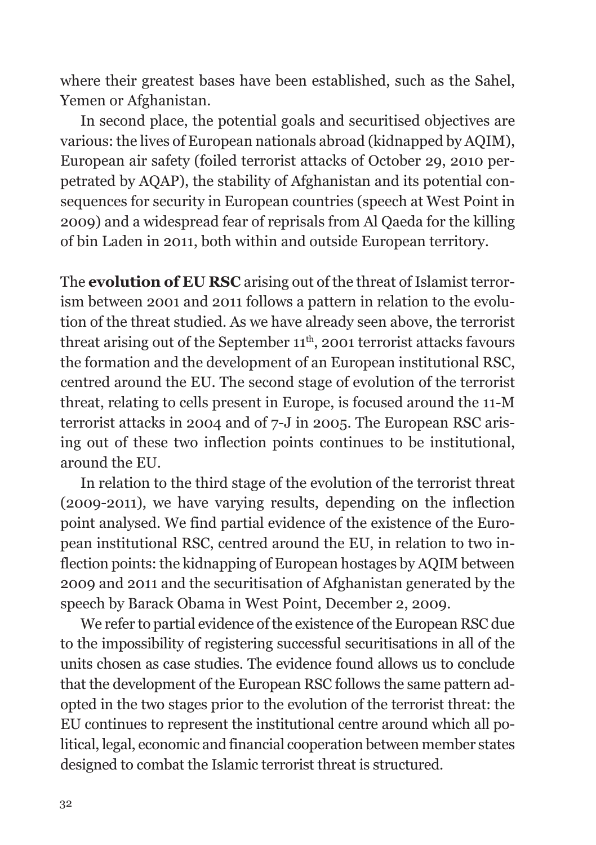where their greatest bases have been established, such as the Sahel, Yemen or Afghanistan.

In second place, the potential goals and securitised objectives are various: the lives of European nationals abroad (kidnapped by AQIM), European air safety (foiled terrorist attacks of October 29, 2010 perpetrated by AQAP), the stability of Afghanistan and its potential consequences for security in European countries (speech at West Point in 2009) and a widespread fear of reprisals from Al Qaeda for the killing of bin Laden in 2011, both within and outside European territory.

The **evolution of EU RSC** arising out of the threat of Islamist terrorism between 2001 and 2011 follows a pattern in relation to the evolution of the threat studied. As we have already seen above, the terrorist threat arising out of the September  $11<sup>th</sup>$ , 2001 terrorist attacks favours the formation and the development of an European institutional RSC, centred around the EU. The second stage of evolution of the terrorist threat, relating to cells present in Europe, is focused around the 11-M terrorist attacks in 2004 and of 7-J in 2005. The European RSC arising out of these two inflection points continues to be institutional, around the EU.

In relation to the third stage of the evolution of the terrorist threat (2009-2011), we have varying results, depending on the inflection point analysed. We find partial evidence of the existence of the European institutional RSC, centred around the EU, in relation to two inflection points: the kidnapping of European hostages by AQIM between 2009 and 2011 and the securitisation of Afghanistan generated by the speech by Barack Obama in West Point, December 2, 2009.

We refer to partial evidence of the existence of the European RSC due to the impossibility of registering successful securitisations in all of the units chosen as case studies. The evidence found allows us to conclude that the development of the European RSC follows the same pattern adopted in the two stages prior to the evolution of the terrorist threat: the EU continues to represent the institutional centre around which all political, legal, economic and financial cooperation between member states designed to combat the Islamic terrorist threat is structured.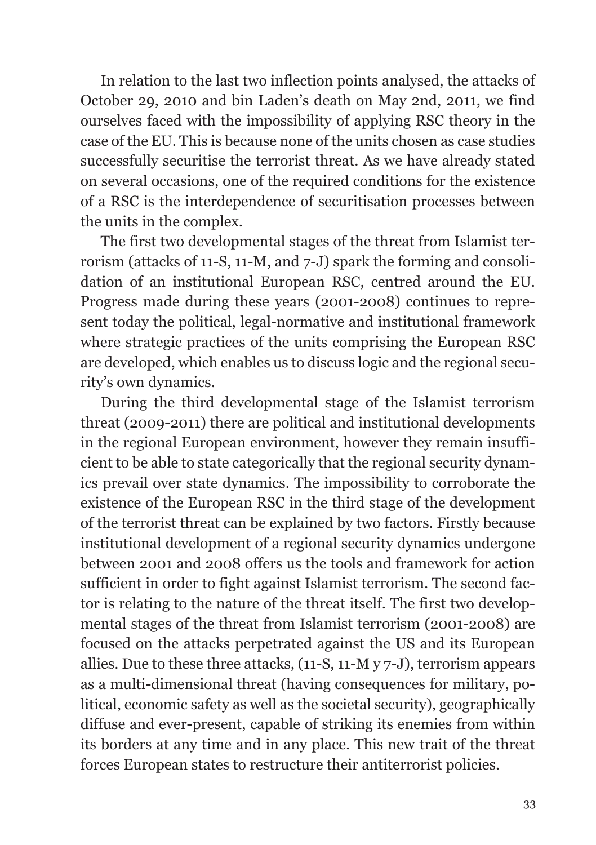In relation to the last two inflection points analysed, the attacks of October 29, 2010 and bin Laden's death on May 2nd, 2011, we find ourselves faced with the impossibility of applying RSC theory in the case of the EU. This is because none of the units chosen as case studies successfully securitise the terrorist threat. As we have already stated on several occasions, one of the required conditions for the existence of a RSC is the interdependence of securitisation processes between the units in the complex.

The first two developmental stages of the threat from Islamist terrorism (attacks of 11-S, 11-M, and 7-J) spark the forming and consolidation of an institutional European RSC, centred around the EU. Progress made during these years (2001-2008) continues to represent today the political, legal-normative and institutional framework where strategic practices of the units comprising the European RSC are developed, which enables us to discuss logic and the regional security's own dynamics.

During the third developmental stage of the Islamist terrorism threat (2009-2011) there are political and institutional developments in the regional European environment, however they remain insufficient to be able to state categorically that the regional security dynamics prevail over state dynamics. The impossibility to corroborate the existence of the European RSC in the third stage of the development of the terrorist threat can be explained by two factors. Firstly because institutional development of a regional security dynamics undergone between 2001 and 2008 offers us the tools and framework for action sufficient in order to fight against Islamist terrorism. The second factor is relating to the nature of the threat itself. The first two developmental stages of the threat from Islamist terrorism (2001-2008) are focused on the attacks perpetrated against the US and its European allies. Due to these three attacks, (11-S, 11-M y 7-J), terrorism appears as a multi-dimensional threat (having consequences for military, political, economic safety as well as the societal security), geographically diffuse and ever-present, capable of striking its enemies from within its borders at any time and in any place. This new trait of the threat forces European states to restructure their antiterrorist policies.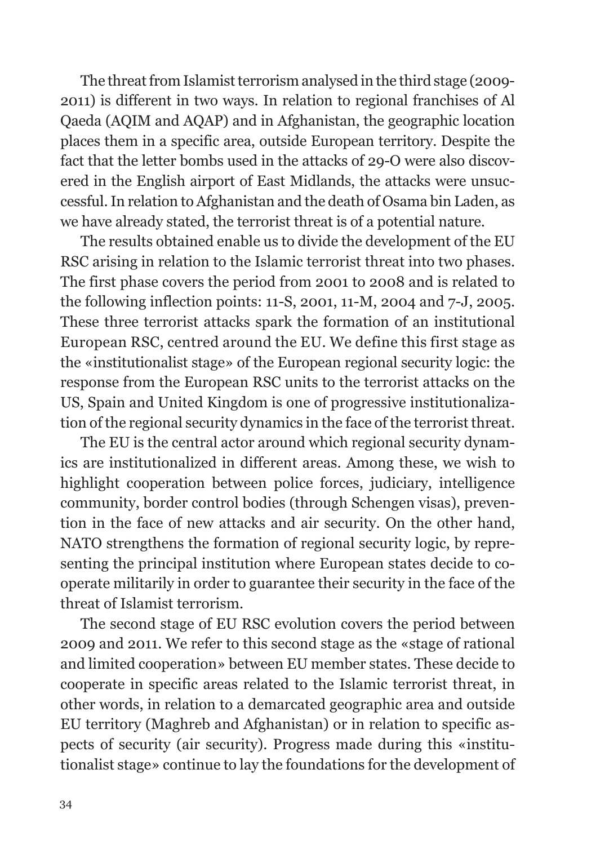The threat from Islamist terrorism analysed in the third stage (2009- 2011) is different in two ways. In relation to regional franchises of Al Qaeda (AQIM and AQAP) and in Afghanistan, the geographic location places them in a specific area, outside European territory. Despite the fact that the letter bombs used in the attacks of 29-O were also discovered in the English airport of East Midlands, the attacks were unsuccessful. In relation to Afghanistan and the death of Osama bin Laden, as we have already stated, the terrorist threat is of a potential nature.

The results obtained enable us to divide the development of the EU RSC arising in relation to the Islamic terrorist threat into two phases. The first phase covers the period from 2001 to 2008 and is related to the following inflection points: 11-S, 2001, 11-M, 2004 and 7-J, 2005. These three terrorist attacks spark the formation of an institutional European RSC, centred around the EU. We define this first stage as the «institutionalist stage» of the European regional security logic: the response from the European RSC units to the terrorist attacks on the US, Spain and United Kingdom is one of progressive institutionalization of the regional security dynamics in the face of the terrorist threat.

The EU is the central actor around which regional security dynamics are institutionalized in different areas. Among these, we wish to highlight cooperation between police forces, judiciary, intelligence community, border control bodies (through Schengen visas), prevention in the face of new attacks and air security. On the other hand, NATO strengthens the formation of regional security logic, by representing the principal institution where European states decide to cooperate militarily in order to guarantee their security in the face of the threat of Islamist terrorism.

The second stage of EU RSC evolution covers the period between 2009 and 2011. We refer to this second stage as the «stage of rational and limited cooperation» between EU member states. These decide to cooperate in specific areas related to the Islamic terrorist threat, in other words, in relation to a demarcated geographic area and outside EU territory (Maghreb and Afghanistan) or in relation to specific aspects of security (air security). Progress made during this «institutionalist stage» continue to lay the foundations for the development of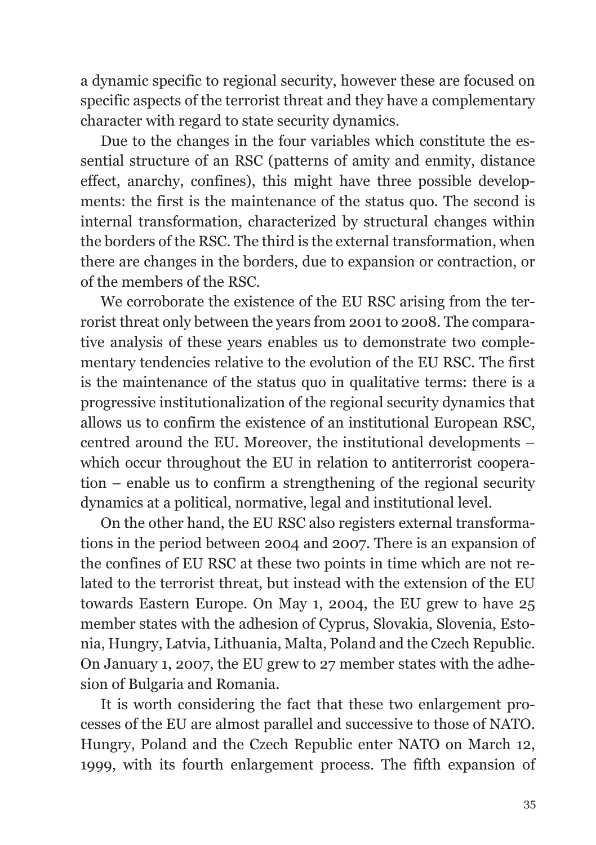a dynamic specific to regional security, however these are focused on specific aspects of the terrorist threat and they have a complementary character with regard to state security dynamics.

Due to the changes in the four variables which constitute the essential structure of an RSC (patterns of amity and enmity, distance effect, anarchy, confines), this might have three possible developments: the first is the maintenance of the status quo. The second is internal transformation, characterized by structural changes within the borders of the RSC. The third is the external transformation, when there are changes in the borders, due to expansion or contraction, or of the members of the RSC.

We corroborate the existence of the EU RSC arising from the terrorist threat only between the years from 2001 to 2008. The comparative analysis of these years enables us to demonstrate two complementary tendencies relative to the evolution of the EU RSC. The first is the maintenance of the status quo in qualitative terms: there is a progressive institutionalization of the regional security dynamics that allows us to confirm the existence of an institutional European RSC, centred around the EU. Moreover, the institutional developments – which occur throughout the EU in relation to antiterrorist cooperation – enable us to confirm a strengthening of the regional security dynamics at a political, normative, legal and institutional level.

On the other hand, the EU RSC also registers external transformations in the period between 2004 and 2007. There is an expansion of the confines of EU RSC at these two points in time which are not related to the terrorist threat, but instead with the extension of the EU towards Eastern Europe. On May 1, 2004, the EU grew to have 25 member states with the adhesion of Cyprus, Slovakia, Slovenia, Estonia, Hungry, Latvia, Lithuania, Malta, Poland and the Czech Republic. On January 1, 2007, the EU grew to 27 member states with the adhesion of Bulgaria and Romania.

It is worth considering the fact that these two enlargement processes of the EU are almost parallel and successive to those of NATO. Hungry, Poland and the Czech Republic enter NATO on March 12, 1999, with its fourth enlargement process. The fifth expansion of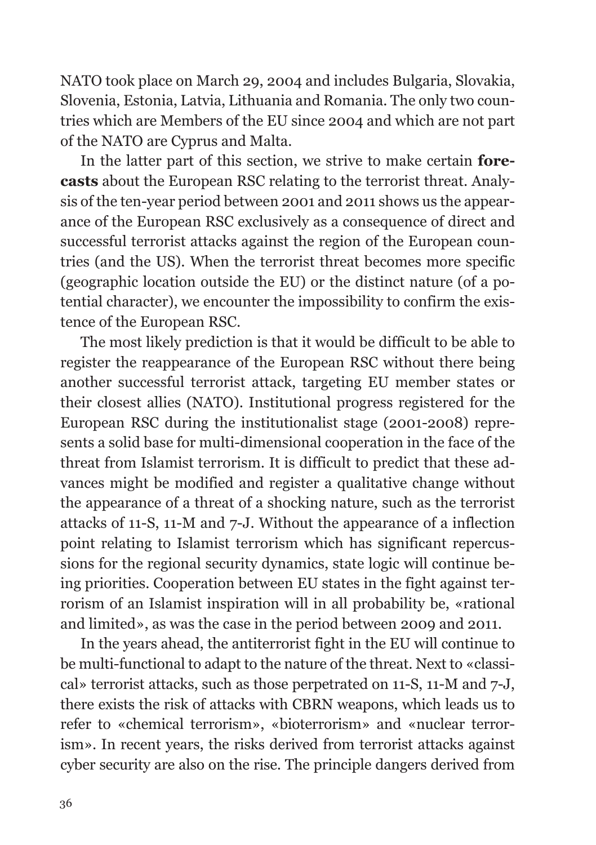NATO took place on March 29, 2004 and includes Bulgaria, Slovakia, Slovenia, Estonia, Latvia, Lithuania and Romania. The only two countries which are Members of the EU since 2004 and which are not part of the NATO are Cyprus and Malta.

In the latter part of this section, we strive to make certain **forecasts** about the European RSC relating to the terrorist threat. Analysis of the ten-year period between 2001 and 2011 shows us the appearance of the European RSC exclusively as a consequence of direct and successful terrorist attacks against the region of the European countries (and the US). When the terrorist threat becomes more specific (geographic location outside the EU) or the distinct nature (of a potential character), we encounter the impossibility to confirm the existence of the European RSC.

The most likely prediction is that it would be difficult to be able to register the reappearance of the European RSC without there being another successful terrorist attack, targeting EU member states or their closest allies (NATO). Institutional progress registered for the European RSC during the institutionalist stage (2001-2008) represents a solid base for multi-dimensional cooperation in the face of the threat from Islamist terrorism. It is difficult to predict that these advances might be modified and register a qualitative change without the appearance of a threat of a shocking nature, such as the terrorist attacks of 11-S, 11-M and 7-J. Without the appearance of a inflection point relating to Islamist terrorism which has significant repercussions for the regional security dynamics, state logic will continue being priorities. Cooperation between EU states in the fight against terrorism of an Islamist inspiration will in all probability be, «rational and limited», as was the case in the period between 2009 and 2011.

In the years ahead, the antiterrorist fight in the EU will continue to be multi-functional to adapt to the nature of the threat. Next to «classical» terrorist attacks, such as those perpetrated on 11-S, 11-M and 7-J, there exists the risk of attacks with CBRN weapons, which leads us to refer to «chemical terrorism», «bioterrorism» and «nuclear terrorism». In recent years, the risks derived from terrorist attacks against cyber security are also on the rise. The principle dangers derived from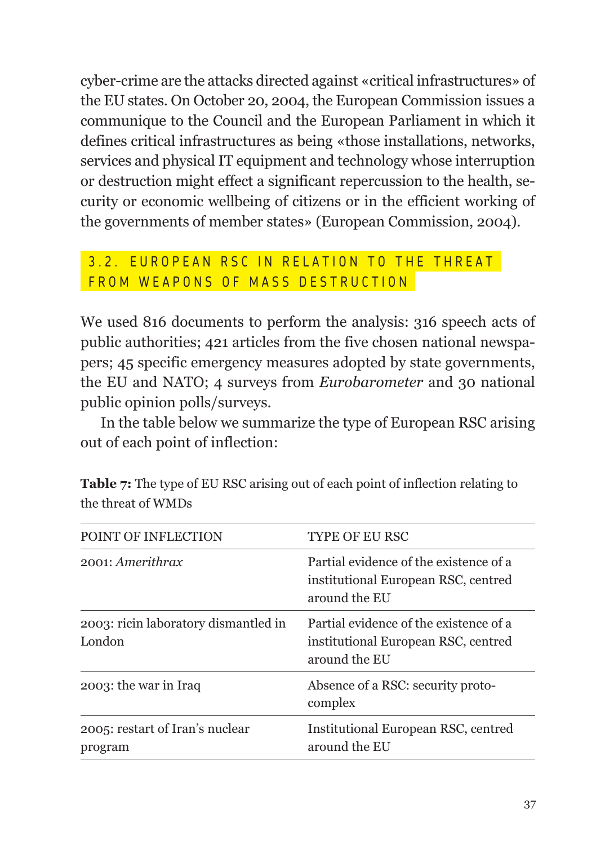cyber-crime are the attacks directed against «critical infrastructures» of the EU states. On October 20, 2004, the European Commission issues a communique to the Council and the European Parliament in which it defines critical infrastructures as being «those installations, networks, services and physical IT equipment and technology whose interruption or destruction might effect a significant repercussion to the health, security or economic wellbeing of citizens or in the efficient working of the governments of member states» (European Commission, 2004).

#### 3.2. EUROPEAN RSC IN RELATION TO THE THREAT FROM WEAPONS OF MASS DESTRUCTION

We used 816 documents to perform the analysis: 316 speech acts of public authorities; 421 articles from the five chosen national newspapers; 45 specific emergency measures adopted by state governments, the EU and NATO; 4 surveys from *Eurobarometer* and 30 national public opinion polls/surveys.

In the table below we summarize the type of European RSC arising out of each point of inflection:

| POINT OF INFLECTION                            | <b>TYPE OF EU RSC</b>                                                                          |
|------------------------------------------------|------------------------------------------------------------------------------------------------|
| 2001: Amerithrax                               | Partial evidence of the existence of a<br>institutional European RSC, centred<br>around the EU |
| 2003: ricin laboratory dismantled in<br>London | Partial evidence of the existence of a<br>institutional European RSC, centred<br>around the EU |
| 2003: the war in Iraq                          | Absence of a RSC: security proto-<br>complex                                                   |
| 2005: restart of Iran's nuclear<br>program     | Institutional European RSC, centred<br>around the EU                                           |

**Table 7:** The type of EU RSC arising out of each point of inflection relating to the threat of WMDs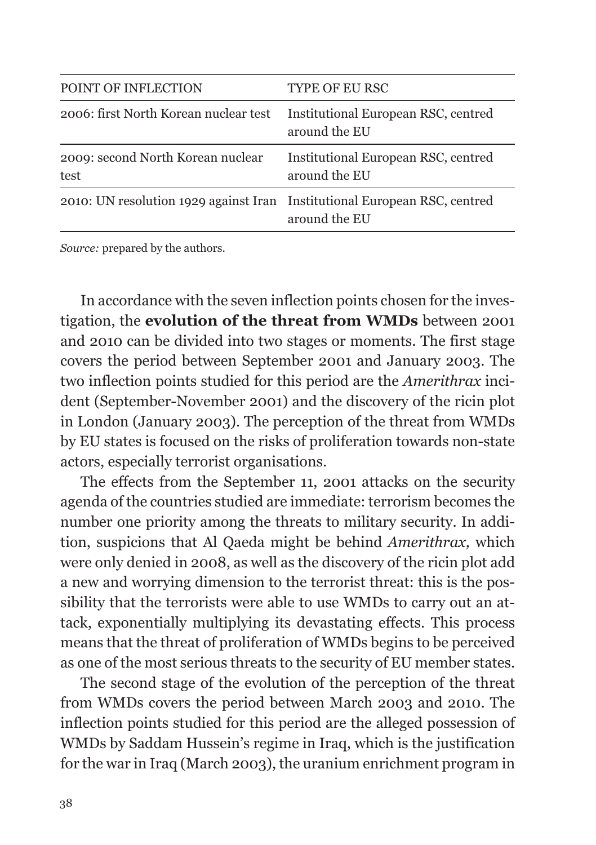| POINT OF INFLECTION                                                       | <b>TYPE OF EU RSC</b>                                |
|---------------------------------------------------------------------------|------------------------------------------------------|
| 2006: first North Korean nuclear test                                     | Institutional European RSC, centred<br>around the EU |
| 2009: second North Korean nuclear<br>test                                 | Institutional European RSC, centred<br>around the EU |
| 2010: UN resolution 1929 against Iran Institutional European RSC, centred | around the EU                                        |

*Source:* prepared by the authors.

In accordance with the seven inflection points chosen for the investigation, the **evolution of the threat from WMDs** between 2001 and 2010 can be divided into two stages or moments. The first stage covers the period between September 2001 and January 2003. The two inflection points studied for this period are the *Amerithrax* incident (September-November 2001) and the discovery of the ricin plot in London (January 2003). The perception of the threat from WMDs by EU states is focused on the risks of proliferation towards non-state actors, especially terrorist organisations.

The effects from the September 11, 2001 attacks on the security agenda of the countries studied are immediate: terrorism becomes the number one priority among the threats to military security. In addition, suspicions that Al Qaeda might be behind *Amerithrax,* which were only denied in 2008, as well as the discovery of the ricin plot add a new and worrying dimension to the terrorist threat: this is the possibility that the terrorists were able to use WMDs to carry out an attack, exponentially multiplying its devastating effects. This process means that the threat of proliferation of WMDs begins to be perceived as one of the most serious threats to the security of EU member states.

The second stage of the evolution of the perception of the threat from WMDs covers the period between March 2003 and 2010. The inflection points studied for this period are the alleged possession of WMDs by Saddam Hussein's regime in Iraq, which is the justification for the war in Iraq (March 2003), the uranium enrichment program in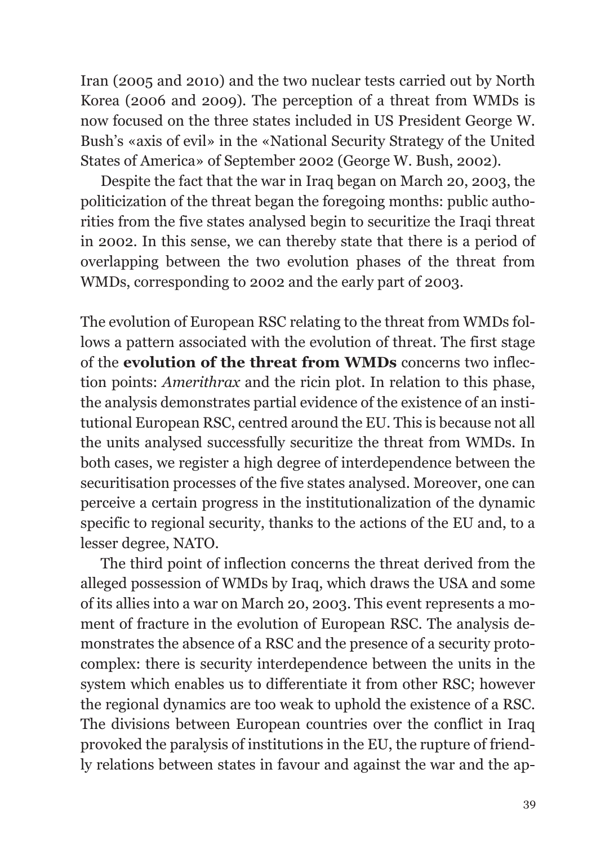Iran (2005 and 2010) and the two nuclear tests carried out by North Korea (2006 and 2009). The perception of a threat from WMDs is now focused on the three states included in US President George W. Bush's «axis of evil» in the «National Security Strategy of the United States of America» of September 2002 (George W. Bush, 2002).

Despite the fact that the war in Iraq began on March 20, 2003, the politicization of the threat began the foregoing months: public authorities from the five states analysed begin to securitize the Iraqi threat in 2002. In this sense, we can thereby state that there is a period of overlapping between the two evolution phases of the threat from WMDs, corresponding to 2002 and the early part of 2003.

The evolution of European RSC relating to the threat from WMDs follows a pattern associated with the evolution of threat. The first stage of the **evolution of the threat from WMDs** concerns two inflection points: *Amerithrax* and the ricin plot. In relation to this phase, the analysis demonstrates partial evidence of the existence of an institutional European RSC, centred around the EU. This is because not all the units analysed successfully securitize the threat from WMDs. In both cases, we register a high degree of interdependence between the securitisation processes of the five states analysed. Moreover, one can perceive a certain progress in the institutionalization of the dynamic specific to regional security, thanks to the actions of the EU and, to a lesser degree, NATO.

The third point of inflection concerns the threat derived from the alleged possession of WMDs by Iraq, which draws the USA and some of its allies into a war on March 20, 2003. This event represents a moment of fracture in the evolution of European RSC. The analysis demonstrates the absence of a RSC and the presence of a security protocomplex: there is security interdependence between the units in the system which enables us to differentiate it from other RSC; however the regional dynamics are too weak to uphold the existence of a RSC. The divisions between European countries over the conflict in Iraq provoked the paralysis of institutions in the EU, the rupture of friendly relations between states in favour and against the war and the ap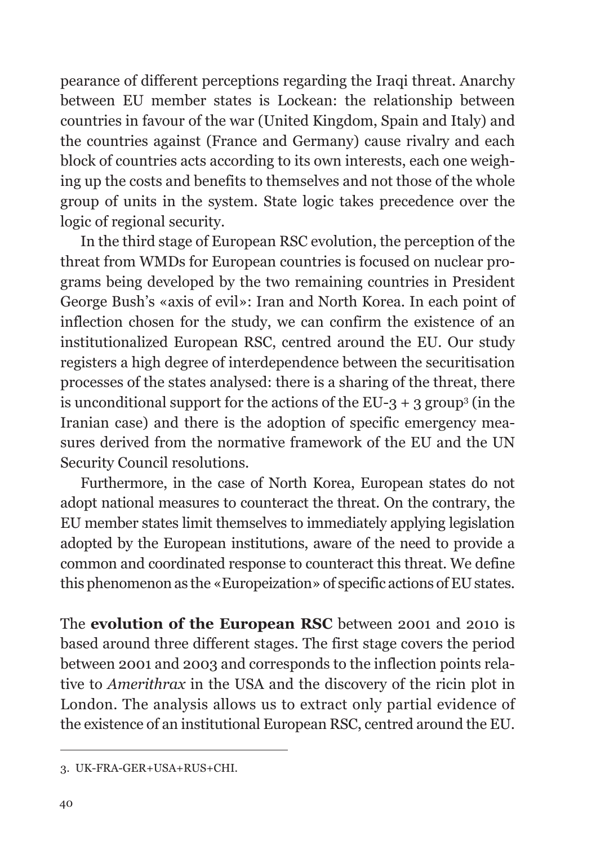pearance of different perceptions regarding the Iraqi threat. Anarchy between EU member states is Lockean: the relationship between countries in favour of the war (United Kingdom, Spain and Italy) and the countries against (France and Germany) cause rivalry and each block of countries acts according to its own interests, each one weighing up the costs and benefits to themselves and not those of the whole group of units in the system. State logic takes precedence over the logic of regional security.

In the third stage of European RSC evolution, the perception of the threat from WMDs for European countries is focused on nuclear programs being developed by the two remaining countries in President George Bush's «axis of evil»: Iran and North Korea. In each point of inflection chosen for the study, we can confirm the existence of an institutionalized European RSC, centred around the EU. Our study registers a high degree of interdependence between the securitisation processes of the states analysed: there is a sharing of the threat, there is unconditional support for the actions of the EU-3 + 3 group3 (in the Iranian case) and there is the adoption of specific emergency measures derived from the normative framework of the EU and the UN Security Council resolutions.

Furthermore, in the case of North Korea, European states do not adopt national measures to counteract the threat. On the contrary, the EU member states limit themselves to immediately applying legislation adopted by the European institutions, aware of the need to provide a common and coordinated response to counteract this threat. We define this phenomenon as the «Europeization» of specific actions of EU states.

The **evolution of the European RSC** between 2001 and 2010 is based around three different stages. The first stage covers the period between 2001 and 2003 and corresponds to the inflection points relative to *Amerithrax* in the USA and the discovery of the ricin plot in London. The analysis allows us to extract only partial evidence of the existence of an institutional European RSC, centred around the EU.

<sup>3.</sup> UK-FRA-GER+USA+RUS+CHI.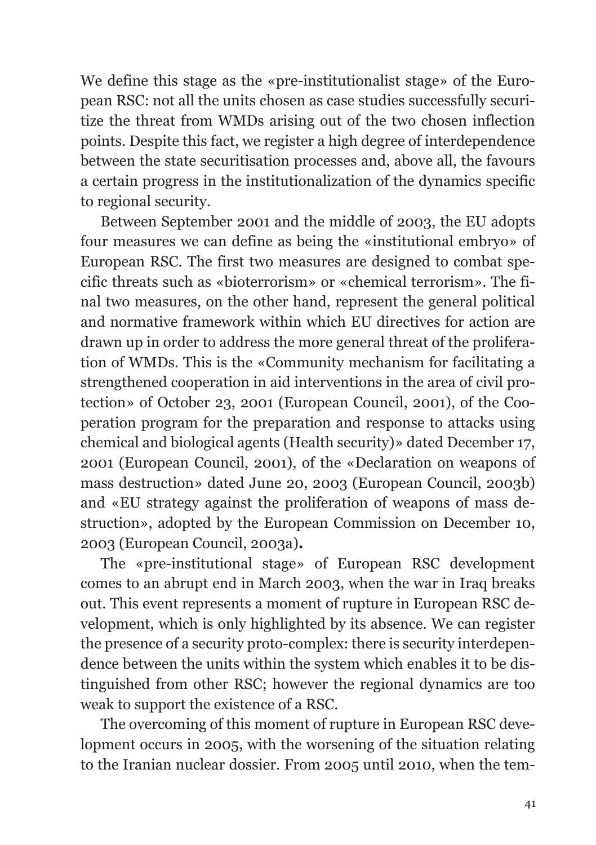We define this stage as the «pre-institutionalist stage» of the European RSC: not all the units chosen as case studies successfully securitize the threat from WMDs arising out of the two chosen inflection points. Despite this fact, we register a high degree of interdependence between the state securitisation processes and, above all, the favours a certain progress in the institutionalization of the dynamics specific to regional security.

Between September 2001 and the middle of 2003, the EU adopts four measures we can define as being the «institutional embryo» of European RSC. The first two measures are designed to combat specific threats such as «bioterrorism» or «chemical terrorism». The final two measures, on the other hand, represent the general political and normative framework within which EU directives for action are drawn up in order to address the more general threat of the proliferation of WMDs. This is the «Community mechanism for facilitating a strengthened cooperation in aid interventions in the area of civil protection» of October 23, 2001 (European Council, 2001), of the Cooperation program for the preparation and response to attacks using chemical and biological agents (Health security)» dated December 17, 2001 (European Council, 2001), of the «Declaration on weapons of mass destruction» dated June 20, 2003 (European Council, 2003b) and «EU strategy against the proliferation of weapons of mass destruction», adopted by the European Commission on December 10, 2003 (European Council, 2003a)**.**

The «pre-institutional stage» of European RSC development comes to an abrupt end in March 2003, when the war in Iraq breaks out. This event represents a moment of rupture in European RSC development, which is only highlighted by its absence. We can register the presence of a security proto-complex: there is security interdependence between the units within the system which enables it to be distinguished from other RSC; however the regional dynamics are too weak to support the existence of a RSC.

The overcoming of this moment of rupture in European RSC development occurs in 2005, with the worsening of the situation relating to the Iranian nuclear dossier. From 2005 until 2010, when the tem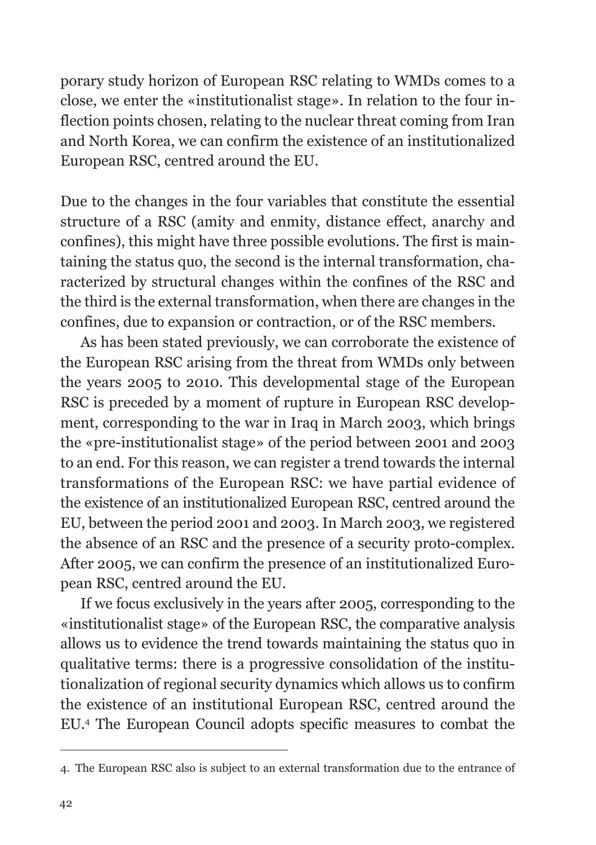porary study horizon of European RSC relating to WMDs comes to a close, we enter the «institutionalist stage». In relation to the four inflection points chosen, relating to the nuclear threat coming from Iran and North Korea, we can confirm the existence of an institutionalized European RSC, centred around the EU.

Due to the changes in the four variables that constitute the essential structure of a RSC (amity and enmity, distance effect, anarchy and confines), this might have three possible evolutions. The first is maintaining the status quo, the second is the internal transformation, characterized by structural changes within the confines of the RSC and the third is the external transformation, when there are changes in the confines, due to expansion or contraction, or of the RSC members.

As has been stated previously, we can corroborate the existence of the European RSC arising from the threat from WMDs only between the years 2005 to 2010. This developmental stage of the European RSC is preceded by a moment of rupture in European RSC development, corresponding to the war in Iraq in March 2003, which brings the «pre-institutionalist stage» of the period between 2001 and 2003 to an end. For this reason, we can register a trend towards the internal transformations of the European RSC: we have partial evidence of the existence of an institutionalized European RSC, centred around the EU, between the period 2001 and 2003. In March 2003, we registered the absence of an RSC and the presence of a security proto-complex. After 2005, we can confirm the presence of an institutionalized European RSC, centred around the EU.

If we focus exclusively in the years after 2005, corresponding to the «institutionalist stage» of the European RSC, the comparative analysis allows us to evidence the trend towards maintaining the status quo in qualitative terms: there is a progressive consolidation of the institutionalization of regional security dynamics which allows us to confirm the existence of an institutional European RSC, centred around the EU.4 The European Council adopts specific measures to combat the

<sup>4.</sup> The European RSC also is subject to an external transformation due to the entrance of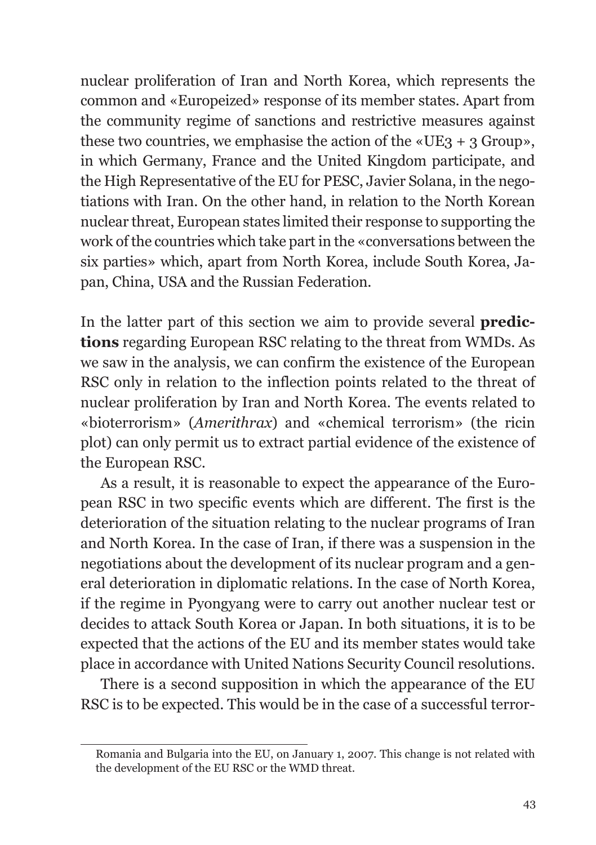nuclear proliferation of Iran and North Korea, which represents the common and «Europeized» response of its member states. Apart from the community regime of sanctions and restrictive measures against these two countries, we emphasise the action of the  $\kappa$ UE3 + 3 Group», in which Germany, France and the United Kingdom participate, and the High Representative of the EU for PESC, Javier Solana, in the negotiations with Iran. On the other hand, in relation to the North Korean nuclear threat, European states limited their response to supporting the work of the countries which take part in the «conversations between the six parties» which, apart from North Korea, include South Korea, Japan, China, USA and the Russian Federation.

In the latter part of this section we aim to provide several **predictions** regarding European RSC relating to the threat from WMDs. As we saw in the analysis, we can confirm the existence of the European RSC only in relation to the inflection points related to the threat of nuclear proliferation by Iran and North Korea. The events related to «bioterrorism» (*Amerithrax*) and «chemical terrorism» (the ricin plot) can only permit us to extract partial evidence of the existence of the European RSC.

As a result, it is reasonable to expect the appearance of the European RSC in two specific events which are different. The first is the deterioration of the situation relating to the nuclear programs of Iran and North Korea. In the case of Iran, if there was a suspension in the negotiations about the development of its nuclear program and a general deterioration in diplomatic relations. In the case of North Korea, if the regime in Pyongyang were to carry out another nuclear test or decides to attack South Korea or Japan. In both situations, it is to be expected that the actions of the EU and its member states would take place in accordance with United Nations Security Council resolutions.

There is a second supposition in which the appearance of the EU RSC is to be expected. This would be in the case of a successful terror-

Romania and Bulgaria into the EU, on January 1, 2007. This change is not related with the development of the EU RSC or the WMD threat.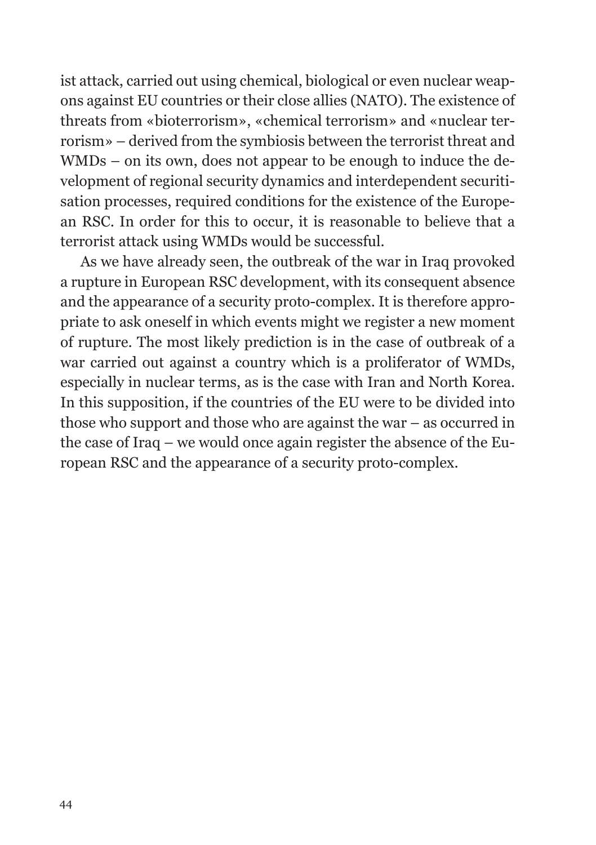ist attack, carried out using chemical, biological or even nuclear weapons against EU countries or their close allies (NATO). The existence of threats from «bioterrorism», «chemical terrorism» and «nuclear terrorism» – derived from the symbiosis between the terrorist threat and WMDs – on its own, does not appear to be enough to induce the development of regional security dynamics and interdependent securitisation processes, required conditions for the existence of the European RSC. In order for this to occur, it is reasonable to believe that a terrorist attack using WMDs would be successful.

As we have already seen, the outbreak of the war in Iraq provoked a rupture in European RSC development, with its consequent absence and the appearance of a security proto-complex. It is therefore appropriate to ask oneself in which events might we register a new moment of rupture. The most likely prediction is in the case of outbreak of a war carried out against a country which is a proliferator of WMDs, especially in nuclear terms, as is the case with Iran and North Korea. In this supposition, if the countries of the EU were to be divided into those who support and those who are against the war – as occurred in the case of Iraq – we would once again register the absence of the European RSC and the appearance of a security proto-complex.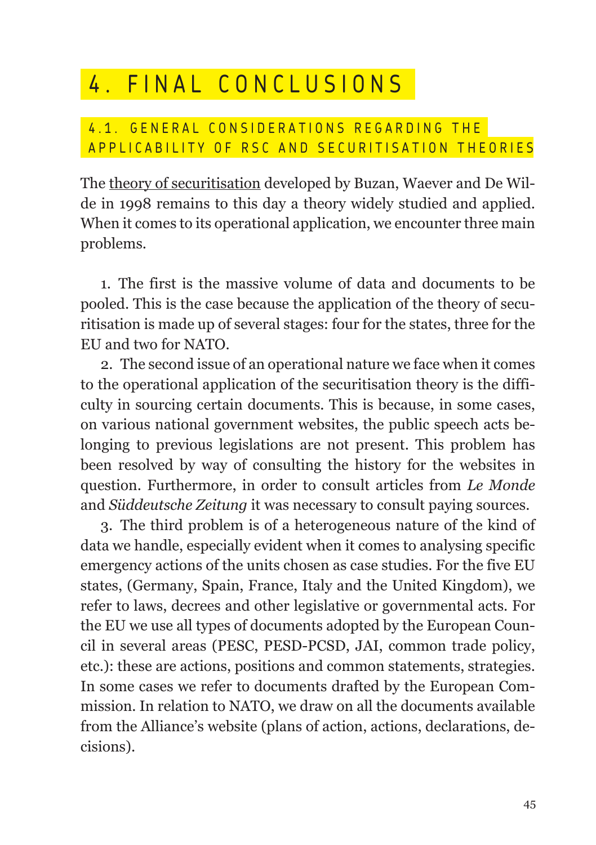## 4. FINAL CONCLUSIONS

#### 4.1. GENERAL CONSIDERATIONS REGARDING THE APPLICABILITY OF RSC AND SECURITISATION THEORIES

The theory of securitisation developed by Buzan, Waever and De Wilde in 1998 remains to this day a theory widely studied and applied. When it comes to its operational application, we encounter three main problems.

1. The first is the massive volume of data and documents to be pooled. This is the case because the application of the theory of securitisation is made up of several stages: four for the states, three for the EU and two for NATO.

2. The second issue of an operational nature we face when it comes to the operational application of the securitisation theory is the difficulty in sourcing certain documents. This is because, in some cases, on various national government websites, the public speech acts belonging to previous legislations are not present. This problem has been resolved by way of consulting the history for the websites in question. Furthermore, in order to consult articles from *Le Monde*  and *Süddeutsche Zeitung* it was necessary to consult paying sources.

3. The third problem is of a heterogeneous nature of the kind of data we handle, especially evident when it comes to analysing specific emergency actions of the units chosen as case studies. For the five EU states, (Germany, Spain, France, Italy and the United Kingdom), we refer to laws, decrees and other legislative or governmental acts. For the EU we use all types of documents adopted by the European Council in several areas (PESC, PESD-PCSD, JAI, common trade policy, etc.): these are actions, positions and common statements, strategies. In some cases we refer to documents drafted by the European Commission. In relation to NATO, we draw on all the documents available from the Alliance's website (plans of action, actions, declarations, decisions).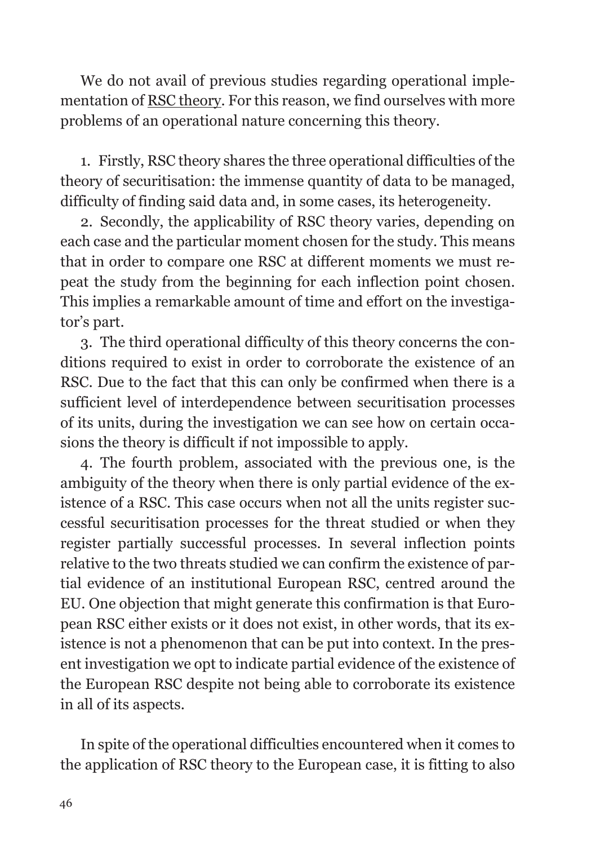We do not avail of previous studies regarding operational implementation of RSC theory. For this reason, we find ourselves with more problems of an operational nature concerning this theory.

1. Firstly, RSC theory shares the three operational difficulties of the theory of securitisation: the immense quantity of data to be managed, difficulty of finding said data and, in some cases, its heterogeneity.

2. Secondly, the applicability of RSC theory varies, depending on each case and the particular moment chosen for the study. This means that in order to compare one RSC at different moments we must repeat the study from the beginning for each inflection point chosen. This implies a remarkable amount of time and effort on the investigator's part.

3. The third operational difficulty of this theory concerns the conditions required to exist in order to corroborate the existence of an RSC. Due to the fact that this can only be confirmed when there is a sufficient level of interdependence between securitisation processes of its units, during the investigation we can see how on certain occasions the theory is difficult if not impossible to apply.

4. The fourth problem, associated with the previous one, is the ambiguity of the theory when there is only partial evidence of the existence of a RSC. This case occurs when not all the units register successful securitisation processes for the threat studied or when they register partially successful processes. In several inflection points relative to the two threats studied we can confirm the existence of partial evidence of an institutional European RSC, centred around the EU. One objection that might generate this confirmation is that European RSC either exists or it does not exist, in other words, that its existence is not a phenomenon that can be put into context. In the present investigation we opt to indicate partial evidence of the existence of the European RSC despite not being able to corroborate its existence in all of its aspects.

In spite of the operational difficulties encountered when it comes to the application of RSC theory to the European case, it is fitting to also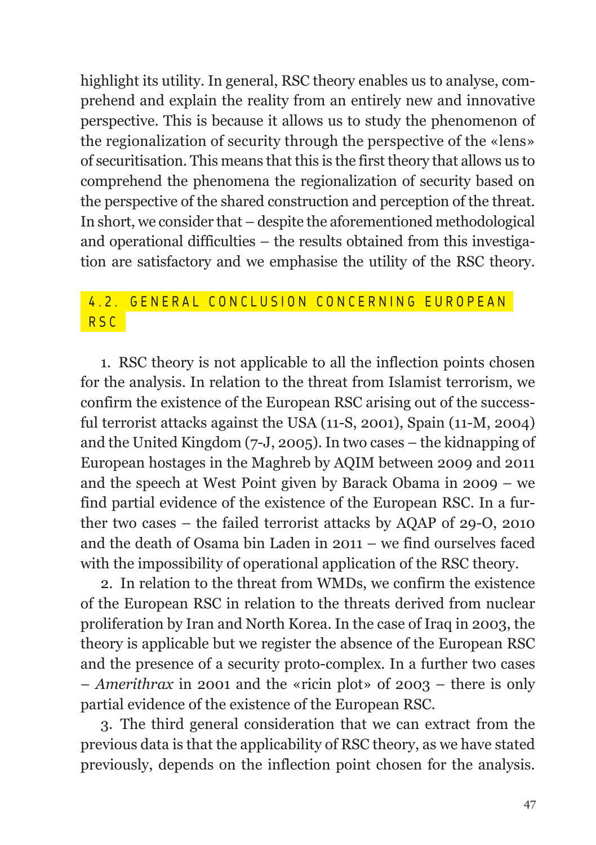highlight its utility. In general, RSC theory enables us to analyse, comprehend and explain the reality from an entirely new and innovative perspective. This is because it allows us to study the phenomenon of the regionalization of security through the perspective of the «lens» of securitisation. This means that this is the first theory that allows us to comprehend the phenomena the regionalization of security based on the perspective of the shared construction and perception of the threat. In short, we consider that – despite the aforementioned methodological and operational difficulties – the results obtained from this investigation are satisfactory and we emphasise the utility of the RSC theory.

#### 4.2. GENERAL CONCLUSION CONCERNING EUROPEAN R S C

1. RSC theory is not applicable to all the inflection points chosen for the analysis. In relation to the threat from Islamist terrorism, we confirm the existence of the European RSC arising out of the successful terrorist attacks against the USA (11-S, 2001), Spain (11-M, 2004) and the United Kingdom (7-J, 2005). In two cases – the kidnapping of European hostages in the Maghreb by AQIM between 2009 and 2011 and the speech at West Point given by Barack Obama in 2009 – we find partial evidence of the existence of the European RSC. In a further two cases – the failed terrorist attacks by AQAP of 29-O, 2010 and the death of Osama bin Laden in 2011 – we find ourselves faced with the impossibility of operational application of the RSC theory.

2. In relation to the threat from WMDs, we confirm the existence of the European RSC in relation to the threats derived from nuclear proliferation by Iran and North Korea. In the case of Iraq in 2003, the theory is applicable but we register the absence of the European RSC and the presence of a security proto-complex. In a further two cases – *Amerithrax* in 2001 and the «ricin plot» of 2003 – there is only partial evidence of the existence of the European RSC.

3. The third general consideration that we can extract from the previous data is that the applicability of RSC theory, as we have stated previously, depends on the inflection point chosen for the analysis.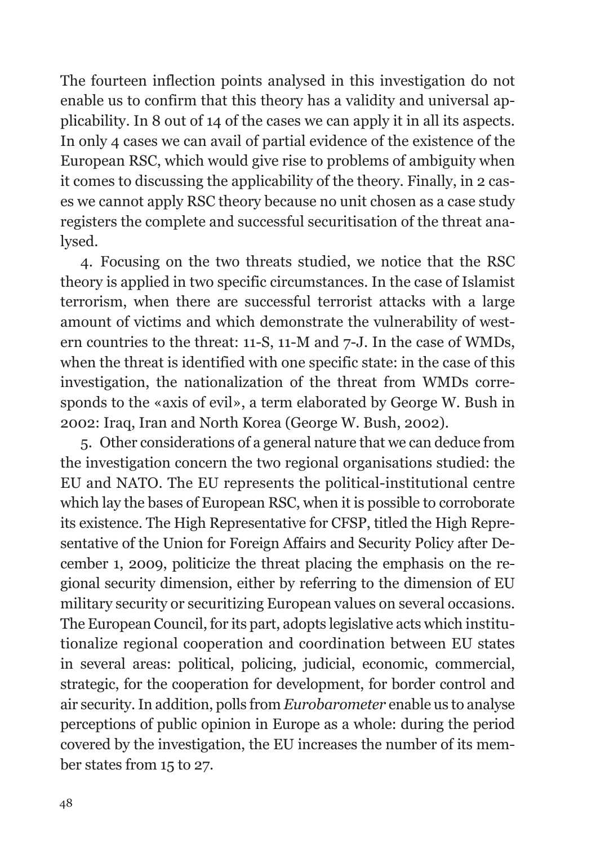The fourteen inflection points analysed in this investigation do not enable us to confirm that this theory has a validity and universal applicability. In 8 out of 14 of the cases we can apply it in all its aspects. In only 4 cases we can avail of partial evidence of the existence of the European RSC, which would give rise to problems of ambiguity when it comes to discussing the applicability of the theory. Finally, in 2 cases we cannot apply RSC theory because no unit chosen as a case study registers the complete and successful securitisation of the threat analysed.

4. Focusing on the two threats studied, we notice that the RSC theory is applied in two specific circumstances. In the case of Islamist terrorism, when there are successful terrorist attacks with a large amount of victims and which demonstrate the vulnerability of western countries to the threat: 11-S, 11-M and 7-J. In the case of WMDs, when the threat is identified with one specific state: in the case of this investigation, the nationalization of the threat from WMDs corresponds to the «axis of evil», a term elaborated by George W. Bush in 2002: Iraq, Iran and North Korea (George W. Bush, 2002).

5. Other considerations of a general nature that we can deduce from the investigation concern the two regional organisations studied: the EU and NATO. The EU represents the political-institutional centre which lay the bases of European RSC, when it is possible to corroborate its existence. The High Representative for CFSP, titled the High Representative of the Union for Foreign Affairs and Security Policy after December 1, 2009, politicize the threat placing the emphasis on the regional security dimension, either by referring to the dimension of EU military security or securitizing European values on several occasions. The European Council, for its part, adopts legislative acts which institutionalize regional cooperation and coordination between EU states in several areas: political, policing, judicial, economic, commercial, strategic, for the cooperation for development, for border control and air security. In addition, polls from *Eurobarometer* enable us to analyse perceptions of public opinion in Europe as a whole: during the period covered by the investigation, the EU increases the number of its member states from 15 to 27.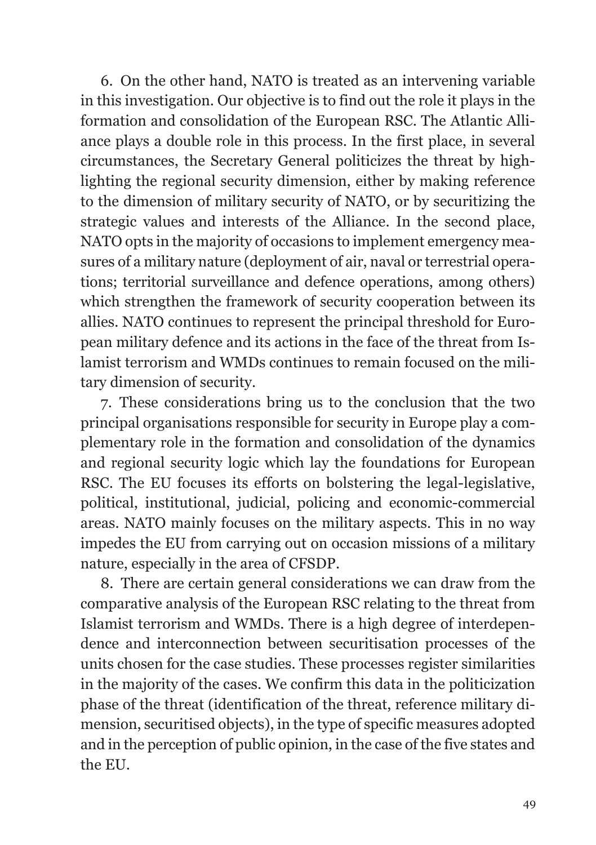6. On the other hand, NATO is treated as an intervening variable in this investigation. Our objective is to find out the role it plays in the formation and consolidation of the European RSC. The Atlantic Alliance plays a double role in this process. In the first place, in several circumstances, the Secretary General politicizes the threat by highlighting the regional security dimension, either by making reference to the dimension of military security of NATO, or by securitizing the strategic values and interests of the Alliance. In the second place, NATO opts in the majority of occasions to implement emergency measures of a military nature (deployment of air, naval or terrestrial operations; territorial surveillance and defence operations, among others) which strengthen the framework of security cooperation between its allies. NATO continues to represent the principal threshold for European military defence and its actions in the face of the threat from Islamist terrorism and WMDs continues to remain focused on the military dimension of security.

7. These considerations bring us to the conclusion that the two principal organisations responsible for security in Europe play a complementary role in the formation and consolidation of the dynamics and regional security logic which lay the foundations for European RSC. The EU focuses its efforts on bolstering the legal-legislative, political, institutional, judicial, policing and economic-commercial areas. NATO mainly focuses on the military aspects. This in no way impedes the EU from carrying out on occasion missions of a military nature, especially in the area of CFSDP.

8. There are certain general considerations we can draw from the comparative analysis of the European RSC relating to the threat from Islamist terrorism and WMDs. There is a high degree of interdependence and interconnection between securitisation processes of the units chosen for the case studies. These processes register similarities in the majority of the cases. We confirm this data in the politicization phase of the threat (identification of the threat, reference military dimension, securitised objects), in the type of specific measures adopted and in the perception of public opinion, in the case of the five states and the EU.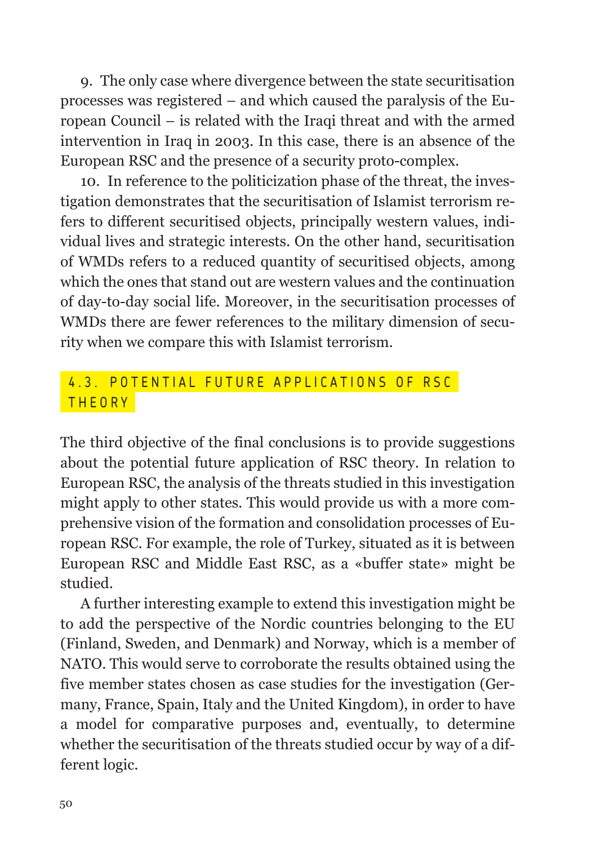9. The only case where divergence between the state securitisation processes was registered – and which caused the paralysis of the European Council – is related with the Iraqi threat and with the armed intervention in Iraq in 2003. In this case, there is an absence of the European RSC and the presence of a security proto-complex.

10. In reference to the politicization phase of the threat, the investigation demonstrates that the securitisation of Islamist terrorism refers to different securitised objects, principally western values, individual lives and strategic interests. On the other hand, securitisation of WMDs refers to a reduced quantity of securitised objects, among which the ones that stand out are western values and the continuation of day-to-day social life. Moreover, in the securitisation processes of WMDs there are fewer references to the military dimension of security when we compare this with Islamist terrorism.

#### 4.3. POTENTIAL FUTURE APPLICATIONS OF RSC THEORY

The third objective of the final conclusions is to provide suggestions about the potential future application of RSC theory. In relation to European RSC, the analysis of the threats studied in this investigation might apply to other states. This would provide us with a more comprehensive vision of the formation and consolidation processes of European RSC. For example, the role of Turkey, situated as it is between European RSC and Middle East RSC, as a «buffer state» might be studied.

A further interesting example to extend this investigation might be to add the perspective of the Nordic countries belonging to the EU (Finland, Sweden, and Denmark) and Norway, which is a member of NATO. This would serve to corroborate the results obtained using the five member states chosen as case studies for the investigation (Germany, France, Spain, Italy and the United Kingdom), in order to have a model for comparative purposes and, eventually, to determine whether the securitisation of the threats studied occur by way of a different logic.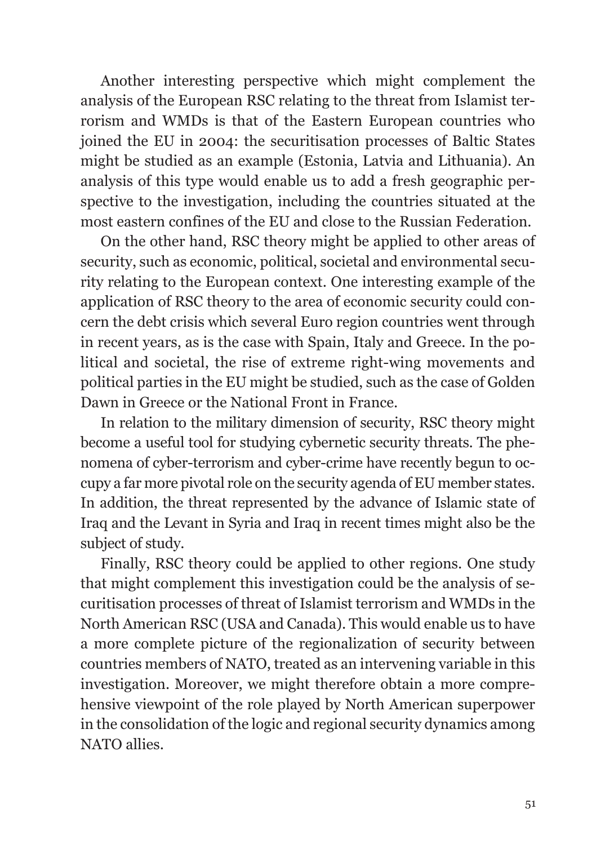Another interesting perspective which might complement the analysis of the European RSC relating to the threat from Islamist terrorism and WMDs is that of the Eastern European countries who joined the EU in 2004: the securitisation processes of Baltic States might be studied as an example (Estonia, Latvia and Lithuania). An analysis of this type would enable us to add a fresh geographic perspective to the investigation, including the countries situated at the most eastern confines of the EU and close to the Russian Federation.

On the other hand, RSC theory might be applied to other areas of security, such as economic, political, societal and environmental security relating to the European context. One interesting example of the application of RSC theory to the area of economic security could concern the debt crisis which several Euro region countries went through in recent years, as is the case with Spain, Italy and Greece. In the political and societal, the rise of extreme right-wing movements and political parties in the EU might be studied, such as the case of Golden Dawn in Greece or the National Front in France.

In relation to the military dimension of security, RSC theory might become a useful tool for studying cybernetic security threats. The phenomena of cyber-terrorism and cyber-crime have recently begun to occupy a far more pivotal role on the security agenda of EU member states. In addition, the threat represented by the advance of Islamic state of Iraq and the Levant in Syria and Iraq in recent times might also be the subject of study.

Finally, RSC theory could be applied to other regions. One study that might complement this investigation could be the analysis of securitisation processes of threat of Islamist terrorism and WMDs in the North American RSC (USA and Canada). This would enable us to have a more complete picture of the regionalization of security between countries members of NATO, treated as an intervening variable in this investigation. Moreover, we might therefore obtain a more comprehensive viewpoint of the role played by North American superpower in the consolidation of the logic and regional security dynamics among NATO allies.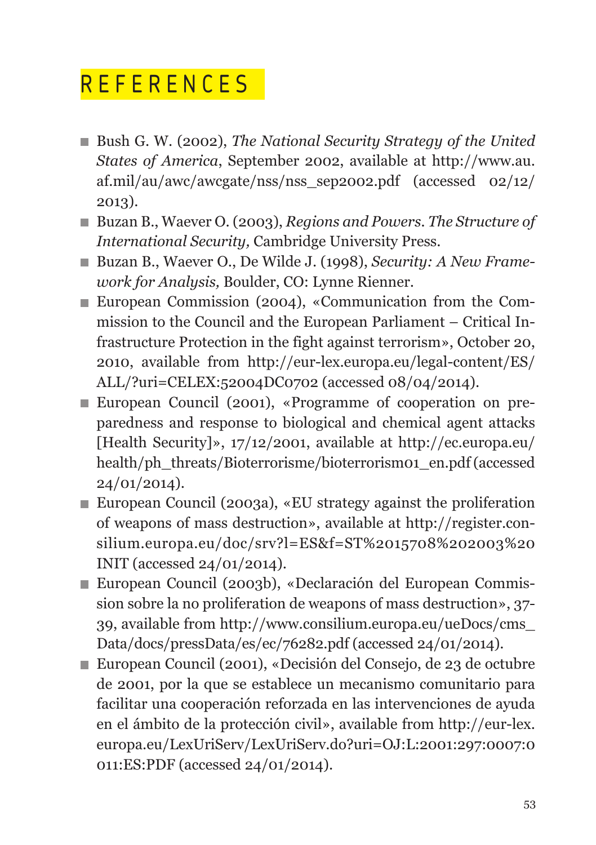## R E F E R E N C E S

- Bush G. W. (2002), *The National Security Strategy of the United States of America*, September 2002, available at http://www.au. af.mil/au/awc/awcgate/nss/nss\_sep2002.pdf (accessed 02/12/ 2013).
- Buzan B., Waever O. (2003), *Regions and Powers. The Structure of International Security,* Cambridge University Press.
- Buzan B., Waever O., De Wilde J. (1998), *Security: A New Framework for Analysis,* Boulder, CO: Lynne Rienner.
- European Commission (2004), «Communication from the Commission to the Council and the European Parliament – Critical Infrastructure Protection in the fight against terrorism», October 20, 2010, available from http://eur-lex.europa.eu/legal-content/ES/ ALL/?uri=CELEX:52004DC0702 (accessed 08/04/2014).
- European Council (2001), «Programme of cooperation on preparedness and response to biological and chemical agent attacks [Health Security]», 17/12/2001, available at http://ec.europa.eu/ health/ph\_threats/Bioterrorisme/bioterrorism01\_en.pdf (accessed 24/01/2014).
- European Council (2003a), «EU strategy against the proliferation of weapons of mass destruction», available at http://register.consilium.europa.eu/doc/srv?l=ES&f=ST%2015708%202003%20 INIT (accessed 24/01/2014).
- European Council (2003b), «Declaración del European Commission sobre la no proliferation de weapons of mass destruction», 37- 39, available from http://www.consilium.europa.eu/ueDocs/cms\_ Data/docs/pressData/es/ec/76282.pdf (accessed 24/01/2014).
- European Council (2001), «Decisión del Consejo, de 23 de octubre de 2001, por la que se establece un mecanismo comunitario para facilitar una cooperación reforzada en las intervenciones de ayuda en el ámbito de la protección civil», available from http://eur-lex. europa.eu/LexUriServ/LexUriServ.do?uri=OJ:L:2001:297:0007:0 011:ES:PDF (accessed 24/01/2014).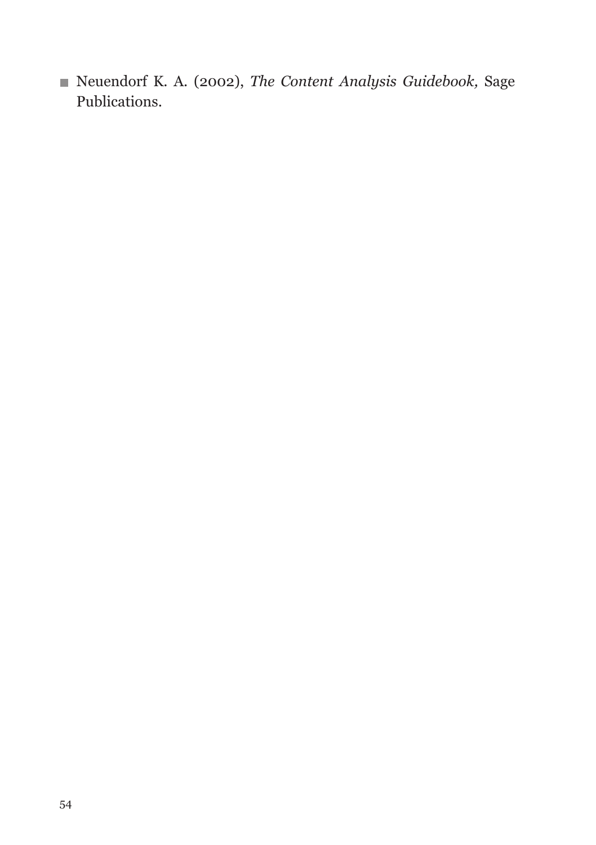Neuendorf K. A. (2002), *The Content Analysis Guidebook,* Sage Publications.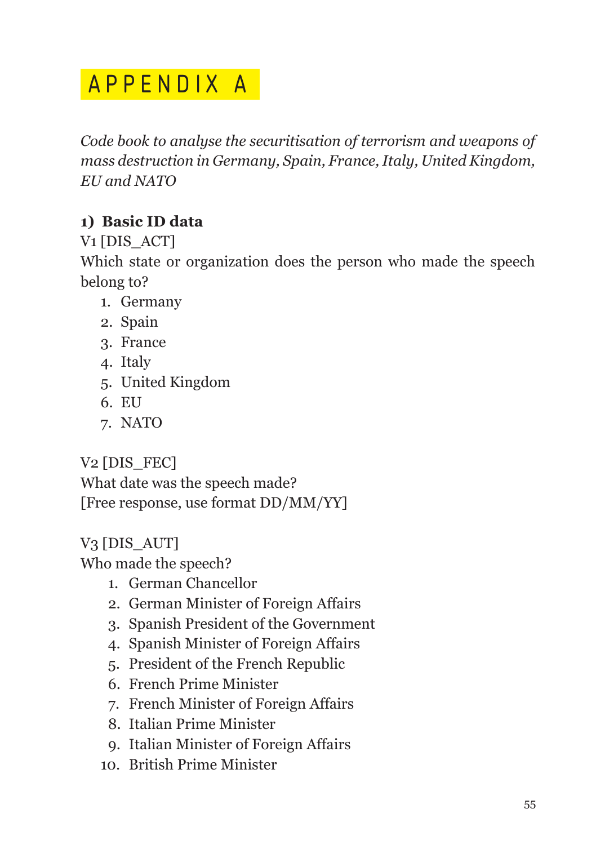## APPENDIX A

*Code book to analyse the securitisation of terrorism and weapons of mass destruction in Germany, Spain, France, Italy, United Kingdom, EU and NATO*

#### **1) Basic ID data**

V1 [DIS\_ACT]

Which state or organization does the person who made the speech belong to?

- 1. Germany
- 2. Spain
- 3. France
- 4. Italy
- 5. United Kingdom
- 6. EU
- 7. NATO

#### V<sub>2</sub> [DIS\_FEC]

What date was the speech made? [Free response, use format DD/MM/YY]

#### V3 [DIS\_AUT]

Who made the speech?

- 1. German Chancellor
- 2. German Minister of Foreign Affairs
- 3. Spanish President of the Government
- 4. Spanish Minister of Foreign Affairs
- 5. President of the French Republic
- 6. French Prime Minister
- 7. French Minister of Foreign Affairs
- 8. Italian Prime Minister
- 9. Italian Minister of Foreign Affairs
- 10. British Prime Minister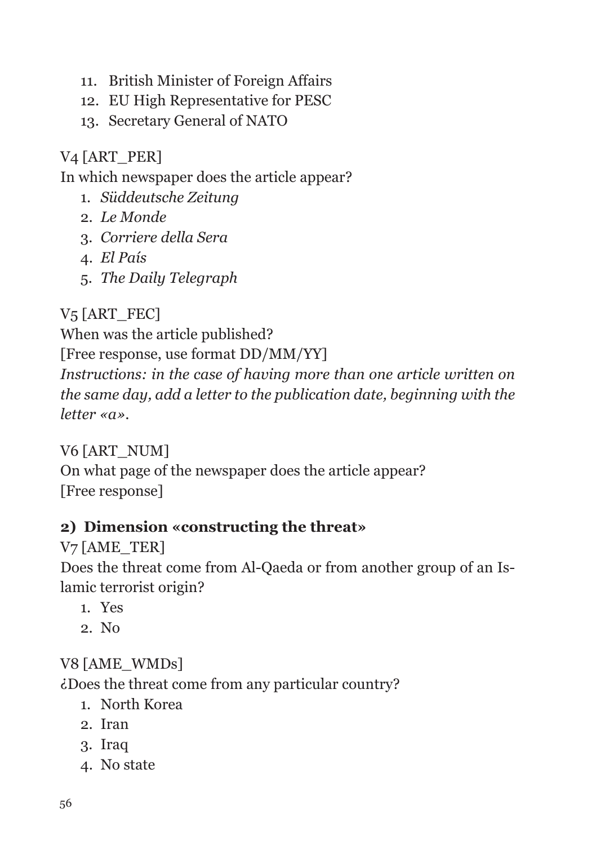- 11. British Minister of Foreign Affairs
- 12. EU High Representative for PESC
- 13. Secretary General of NATO

#### V<sub>4</sub> [ART\_PER]

In which newspaper does the article appear?

- 1. *Süddeutsche Zeitung*
- 2. *Le Monde*
- 3. *Corriere della Sera*
- 4. *El País*
- 5. *The Daily Telegraph*

V<sub>5</sub> [ART\_FEC]

When was the article published?

[Free response, use format DD/MM/YY]

*Instructions: in the case of having more than one article written on the same day, add a letter to the publication date, beginning with the letter «a».*

V6 [ART\_NUM] On what page of the newspaper does the article appear? [Free response]

#### **2) Dimension «constructing the threat»**

V7 [AME\_TER] Does the threat come from Al-Qaeda or from another group of an Islamic terrorist origin?

- 1. Yes
- 2. No

#### V8 [AME\_WMDs]

¿Does the threat come from any particular country?

- 1. North Korea
- 2. Iran
- 3. Iraq
- 4. No state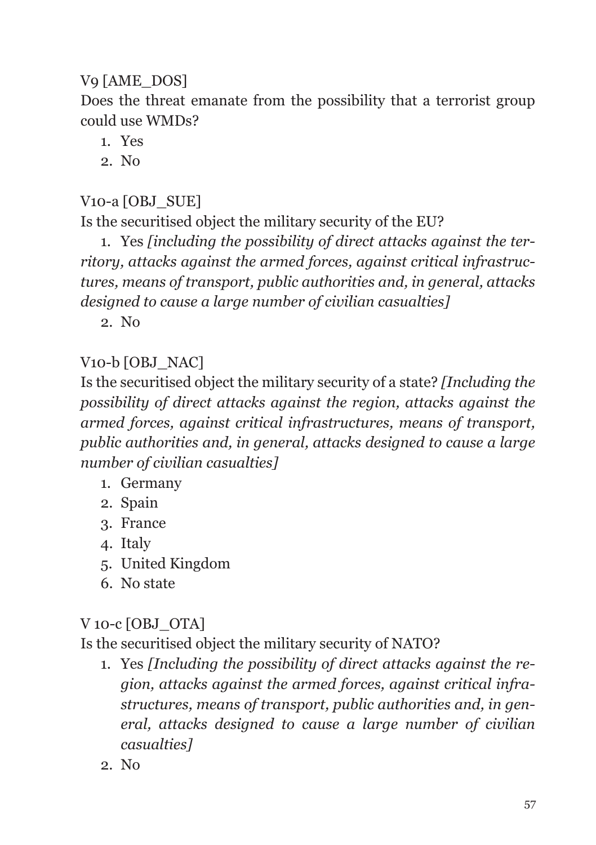#### V9 [AME\_DOS]

Does the threat emanate from the possibility that a terrorist group could use WMDs?

- 1. Yes
- 2. No

V10-a [OBJ\_SUE]

Is the securitised object the military security of the EU?

1. Yes *[including the possibility of direct attacks against the territory, attacks against the armed forces, against critical infrastructures, means of transport, public authorities and, in general, attacks designed to cause a large number of civilian casualties]*

2. No

#### V10-b [OBJ\_NAC]

Is the securitised object the military security of a state? *[Including the possibility of direct attacks against the region, attacks against the armed forces, against critical infrastructures, means of transport, public authorities and, in general, attacks designed to cause a large number of civilian casualties]*

- 1. Germany
- 2. Spain
- 3. France
- 4. Italy
- 5. United Kingdom
- 6. No state

#### V 10-c [OBJ\_OTA]

Is the securitised object the military security of NATO?

- 1. Yes *[Including the possibility of direct attacks against the region, attacks against the armed forces, against critical infrastructures, means of transport, public authorities and, in general, attacks designed to cause a large number of civilian casualties]*
- 2. No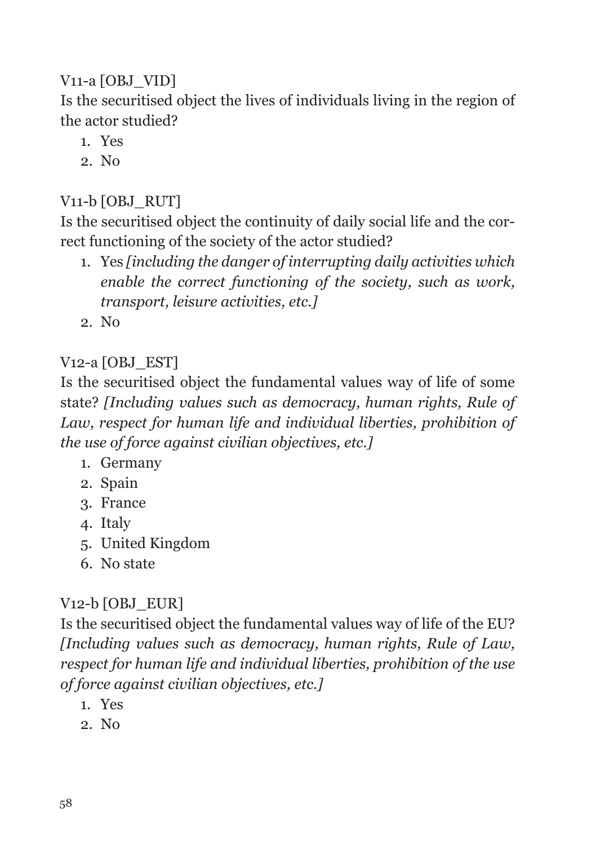#### V<sub>11</sub>-a [OBJ\_VID]

Is the securitised object the lives of individuals living in the region of the actor studied?

- 1. Yes
- 2. No

#### V11-b [OBJ\_RUT]

Is the securitised object the continuity of daily social life and the correct functioning of the society of the actor studied?

- 1. Yes *[including the danger of interrupting daily activities which enable the correct functioning of the society, such as work, transport, leisure activities, etc.]*
- 2. No

#### V12-a [OBJ\_EST]

Is the securitised object the fundamental values way of life of some state? *[Including values such as democracy, human rights, Rule of Law, respect for human life and individual liberties, prohibition of the use of force against civilian objectives, etc.]*

- 1. Germany
- 2. Spain
- 3. France
- 4. Italy
- 5. United Kingdom
- 6. No state

#### V12-b [OBJ\_EUR]

Is the securitised object the fundamental values way of life of the EU? *[Including values such as democracy, human rights, Rule of Law, respect for human life and individual liberties, prohibition of the use of force against civilian objectives, etc.]*

- 1. Yes
- 2. No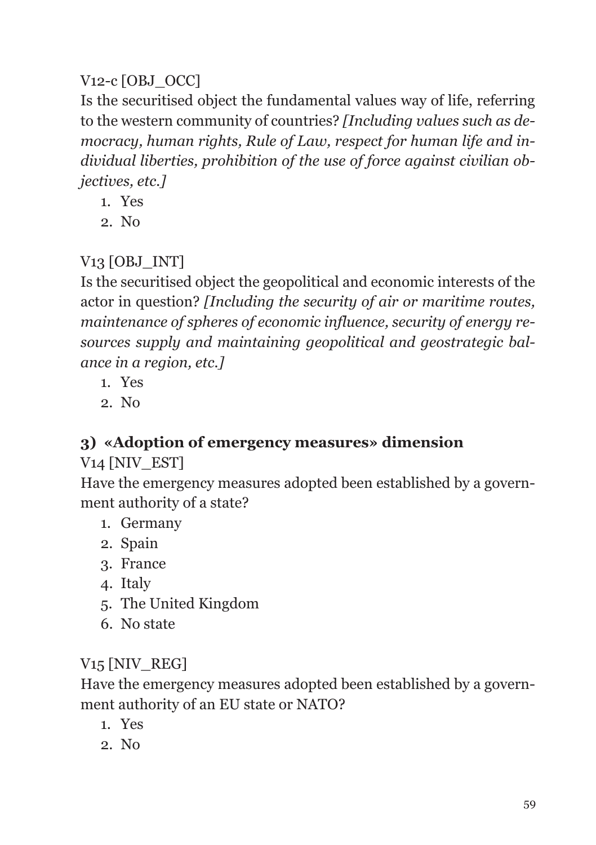#### V<sub>12</sub>-c [OBJ\_OCC]

Is the securitised object the fundamental values way of life, referring to the western community of countries? *[Including values such as democracy, human rights, Rule of Law, respect for human life and individual liberties, prohibition of the use of force against civilian objectives, etc.]*

- 1. Yes
- 2. No

#### V<sub>13</sub> [OBJ\_INT]

Is the securitised object the geopolitical and economic interests of the actor in question? *[Including the security of air or maritime routes, maintenance of spheres of economic influence, security of energy resources supply and maintaining geopolitical and geostrategic balance in a region, etc.]*

- 1. Yes
- 2. No

#### **3) «Adoption of emergency measures» dimension**

#### V<sub>14</sub> [NIV\_EST]

Have the emergency measures adopted been established by a government authority of a state?

- 1. Germany
- 2. Spain
- 3. France
- 4. Italy
- 5. The United Kingdom
- 6. No state

#### V<sub>15</sub> [NIV\_REG]

Have the emergency measures adopted been established by a government authority of an EU state or NATO?

- 1. Yes
- 2. No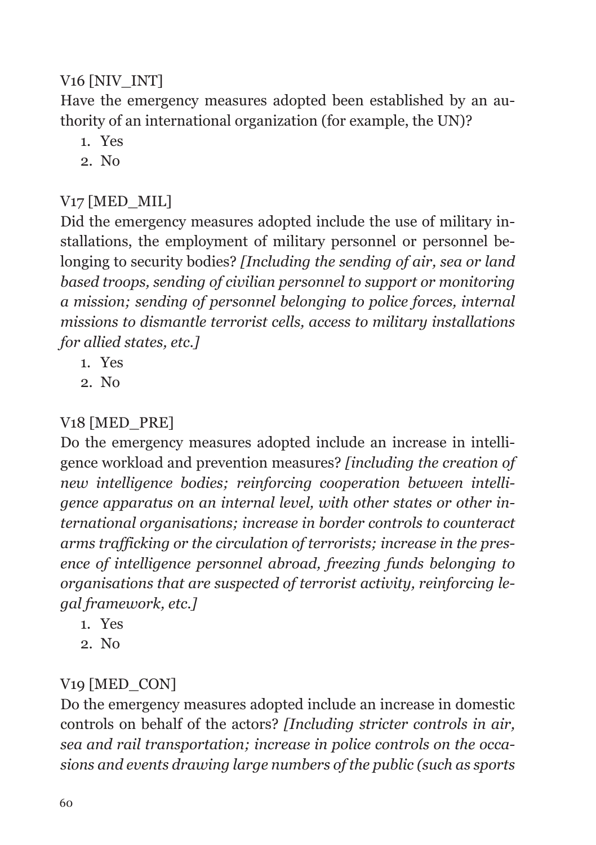#### V<sub>16</sub> [NIV INT]

Have the emergency measures adopted been established by an authority of an international organization (for example, the UN)?

- 1. Yes
- 2. No

#### V17 [MED\_MIL]

Did the emergency measures adopted include the use of military installations, the employment of military personnel or personnel belonging to security bodies? *[Including the sending of air, sea or land based troops, sending of civilian personnel to support or monitoring a mission; sending of personnel belonging to police forces, internal missions to dismantle terrorist cells, access to military installations for allied states, etc.]*

- 1. Yes
- 2. No

#### V18 [MED\_PRE]

Do the emergency measures adopted include an increase in intelligence workload and prevention measures? *[including the creation of new intelligence bodies; reinforcing cooperation between intelligence apparatus on an internal level, with other states or other international organisations; increase in border controls to counteract arms trafficking or the circulation of terrorists; increase in the presence of intelligence personnel abroad, freezing funds belonging to organisations that are suspected of terrorist activity, reinforcing legal framework, etc.]*

- 1. Yes
- 2. No

#### V19 [MED\_CON]

Do the emergency measures adopted include an increase in domestic controls on behalf of the actors? *[Including stricter controls in air, sea and rail transportation; increase in police controls on the occasions and events drawing large numbers of the public (such as sports*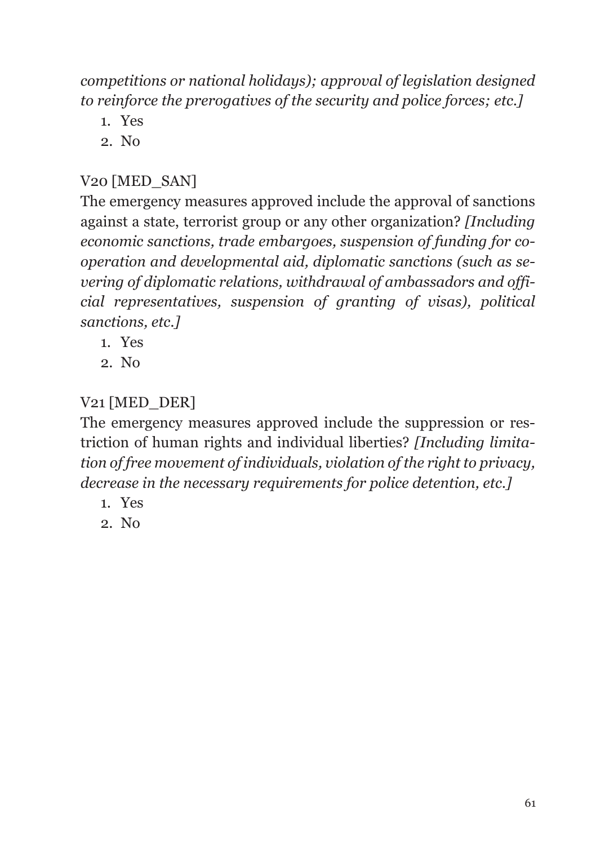*competitions or national holidays); approval of legislation designed to reinforce the prerogatives of the security and police forces; etc.]*

- 1. Yes
- 2. No

#### V20 [MED\_SAN]

The emergency measures approved include the approval of sanctions against a state, terrorist group or any other organization? *[Including economic sanctions, trade embargoes, suspension of funding for cooperation and developmental aid, diplomatic sanctions (such as severing of diplomatic relations, withdrawal of ambassadors and official representatives, suspension of granting of visas), political sanctions, etc.]*

- 1. Yes
- 2. No

#### V21 [MED\_DER]

The emergency measures approved include the suppression or restriction of human rights and individual liberties? *[Including limitation of free movement of individuals, violation of the right to privacy, decrease in the necessary requirements for police detention, etc.]*

- 1. Yes
- 2. No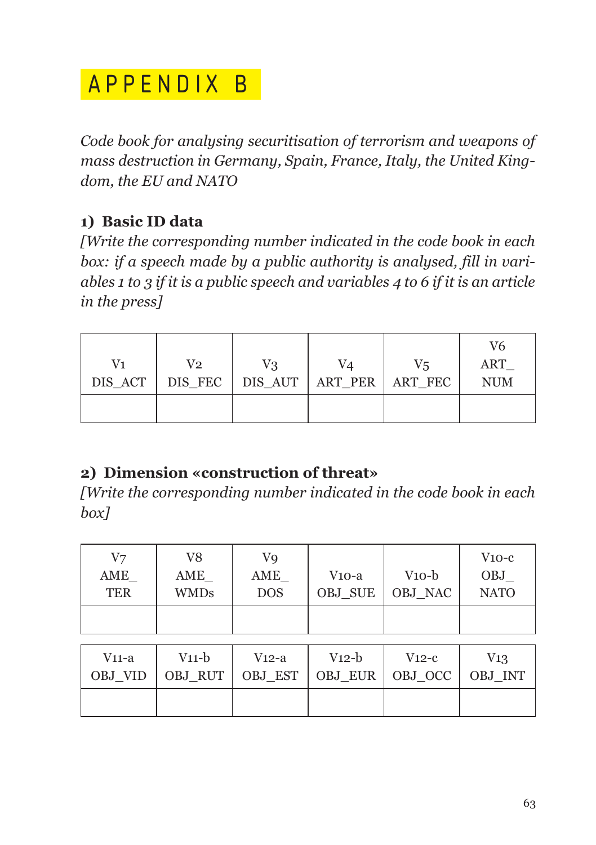## APPENDIX B

*Code book for analysing securitisation of terrorism and weapons of mass destruction in Germany, Spain, France, Italy, the United Kingdom, the EU and NATO*

#### **1) Basic ID data**

*[Write the corresponding number indicated in the code book in each box: if a speech made by a public authority is analysed, fill in variables 1 to 3 if it is a public speech and variables 4 to 6 if it is an article in the press]*

| V1<br>DIS_ACT | V2 | V3 | V4<br>DIS_FEC   DIS_AUT   ART_PER   ART_FEC | V5 | V6<br>ART<br><b>NUM</b> |
|---------------|----|----|---------------------------------------------|----|-------------------------|
|               |    |    |                                             |    |                         |

#### **2) Dimension «construction of threat»**

*[Write the corresponding number indicated in the code book in each box]*

| V7<br>AME<br>TER | V8<br>AME<br><b>WMDs</b> | V9<br>AME<br><b>DOS</b> | V10-a<br><b>OBJ SUE</b> | $V10-b$<br>OBJ NAC | $V10-c$<br>OBJ<br><b>NATO</b> |
|------------------|--------------------------|-------------------------|-------------------------|--------------------|-------------------------------|
|                  |                          |                         |                         |                    |                               |

| $V11-a$<br>OBJ VID | V11-b | $V12-a$ | $V12-b$<br>OBJ_RUT   OBJ_EST   OBJ_EUR   OBJ_OCC | $V12-c$ | $V_{13}$<br>OBJ INT |
|--------------------|-------|---------|--------------------------------------------------|---------|---------------------|
|                    |       |         |                                                  |         |                     |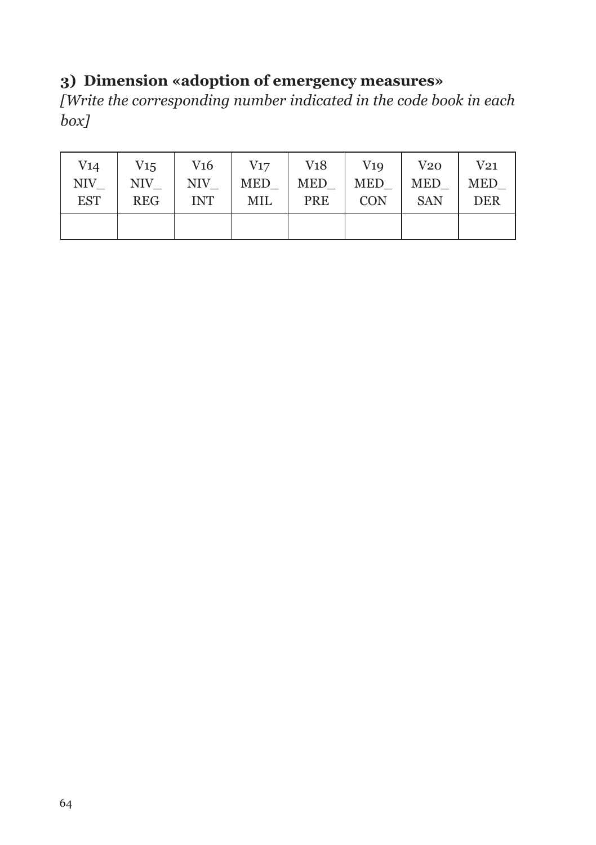#### **3) Dimension «adoption of emergency measures»**

*[Write the corresponding number indicated in the code book in each box]*

| V14        | $V_{15}$   | V16           | V17        | V <sub>18</sub> | V19        | V20        | $\operatorname{V21}$ |
|------------|------------|---------------|------------|-----------------|------------|------------|----------------------|
| NIV        | NIV        | $\rm NIV_{-}$ | <b>MED</b> | <b>MED</b>      | <b>MED</b> | MED        | <b>MED</b>           |
| <b>EST</b> | <b>REG</b> | <b>INT</b>    | MIL        | <b>PRE</b>      | <b>CON</b> | <b>SAN</b> | <b>DER</b>           |
|            |            |               |            |                 |            |            |                      |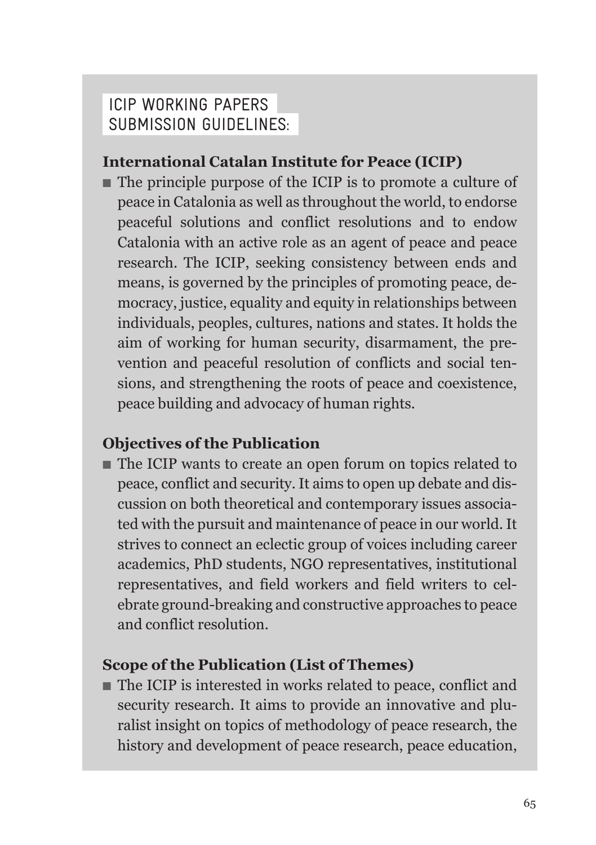#### IcIp workINg papers subMIssIoN guIdelINes:

#### **International Catalan Institute for Peace (ICIP)**

■ The principle purpose of the ICIP is to promote a culture of peace in Catalonia as well as throughout the world, to endorse peaceful solutions and conflict resolutions and to endow Catalonia with an active role as an agent of peace and peace research. The ICIP, seeking consistency between ends and means, is governed by the principles of promoting peace, democracy, justice, equality and equity in relationships between individuals, peoples, cultures, nations and states. It holds the aim of working for human security, disarmament, the prevention and peaceful resolution of conflicts and social tensions, and strengthening the roots of peace and coexistence, peace building and advocacy of human rights.

#### **Objectives of the Publication**

■ The ICIP wants to create an open forum on topics related to peace, conflict and security. It aims to open up debate and discussion on both theoretical and contemporary issues associated with the pursuit and maintenance of peace in our world. It strives to connect an eclectic group of voices including career academics, PhD students, NGO representatives, institutional representatives, and field workers and field writers to celebrate ground-breaking and constructive approaches to peace and conflict resolution.

#### **Scope of the Publication (List of Themes)**

■ The ICIP is interested in works related to peace, conflict and security research. It aims to provide an innovative and pluralist insight on topics of methodology of peace research, the history and development of peace research, peace education,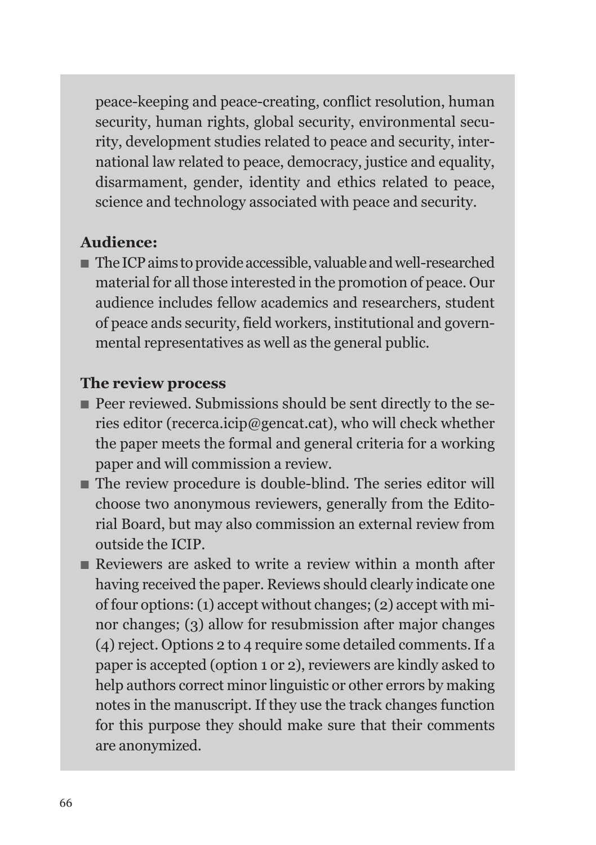peace-keeping and peace-creating, conflict resolution, human security, human rights, global security, environmental security, development studies related to peace and security, international law related to peace, democracy, justice and equality, disarmament, gender, identity and ethics related to peace, science and technology associated with peace and security.

#### **Audience:**

■ The ICP aims to provide accessible, valuable and well-researched material for all those interested in the promotion of peace. Our audience includes fellow academics and researchers, student of peace ands security, field workers, institutional and governmental representatives as well as the general public.

#### **The review process**

- Peer reviewed. Submissions should be sent directly to the series editor (recerca.icip@gencat.cat), who will check whether the paper meets the formal and general criteria for a working paper and will commission a review.
- The review procedure is double-blind. The series editor will choose two anonymous reviewers, generally from the Editorial Board, but may also commission an external review from outside the ICIP.
- Reviewers are asked to write a review within a month after having received the paper. Reviews should clearly indicate one of four options: (1) accept without changes; (2) accept with minor changes; (3) allow for resubmission after major changes (4) reject. Options 2 to 4 require some detailed comments. If a paper is accepted (option 1 or 2), reviewers are kindly asked to help authors correct minor linguistic or other errors by making notes in the manuscript. If they use the track changes function for this purpose they should make sure that their comments are anonymized.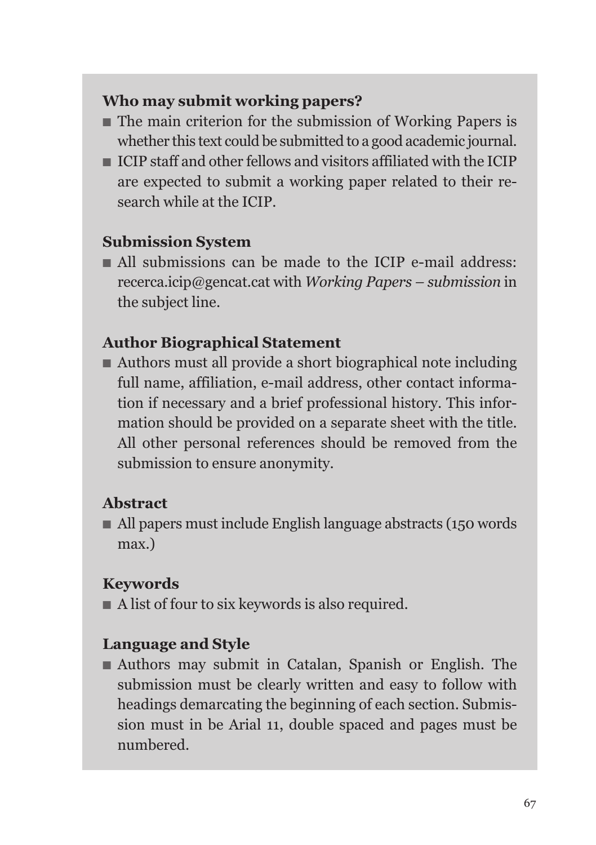#### **Who may submit working papers?**

- The main criterion for the submission of Working Papers is whether this text could be submitted to a good academic journal.
- ICIP staff and other fellows and visitors affiliated with the ICIP are expected to submit a working paper related to their research while at the ICIP.

#### **Submission System**

■ All submissions can be made to the ICIP e-mail address: recerca.icip@gencat.cat with *Working Papers – submission* in the subject line.

#### **Author Biographical Statement**

■ Authors must all provide a short biographical note including full name, affiliation, e-mail address, other contact information if necessary and a brief professional history. This information should be provided on a separate sheet with the title. All other personal references should be removed from the submission to ensure anonymity.

#### **Abstract**

■ All papers must include English language abstracts (150 words) max.)

#### **Keywords**

■ A list of four to six keywords is also required.

#### **Language and Style**

■ Authors may submit in Catalan, Spanish or English. The submission must be clearly written and easy to follow with headings demarcating the beginning of each section. Submission must in be Arial 11, double spaced and pages must be numbered.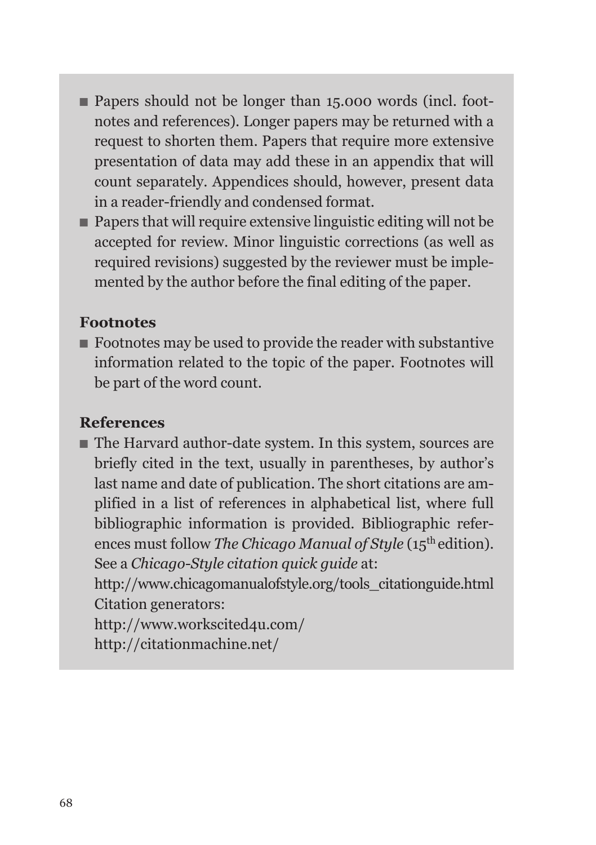- Papers should not be longer than 15,000 words (incl. footnotes and references). Longer papers may be returned with a request to shorten them. Papers that require more extensive presentation of data may add these in an appendix that will count separately. Appendices should, however, present data in a reader-friendly and condensed format.
- Papers that will require extensive linguistic editing will not be accepted for review. Minor linguistic corrections (as well as required revisions) suggested by the reviewer must be implemented by the author before the final editing of the paper.

#### **Footnotes**

■ Footnotes may be used to provide the reader with substantive information related to the topic of the paper. Footnotes will be part of the word count.

#### **References**

■ The Harvard author-date system. In this system, sources are briefly cited in the text, usually in parentheses, by author's last name and date of publication. The short citations are amplified in a list of references in alphabetical list, where full bibliographic information is provided. Bibliographic references must follow *The Chicago Manual of Style* (15<sup>th</sup> edition). See a *Chicago-Style citation quick guide* at:

http://www.chicagomanualofstyle.org/tools\_citationguide.html Citation generators:

http://www.workscited4u.com/ http://citationmachine.net/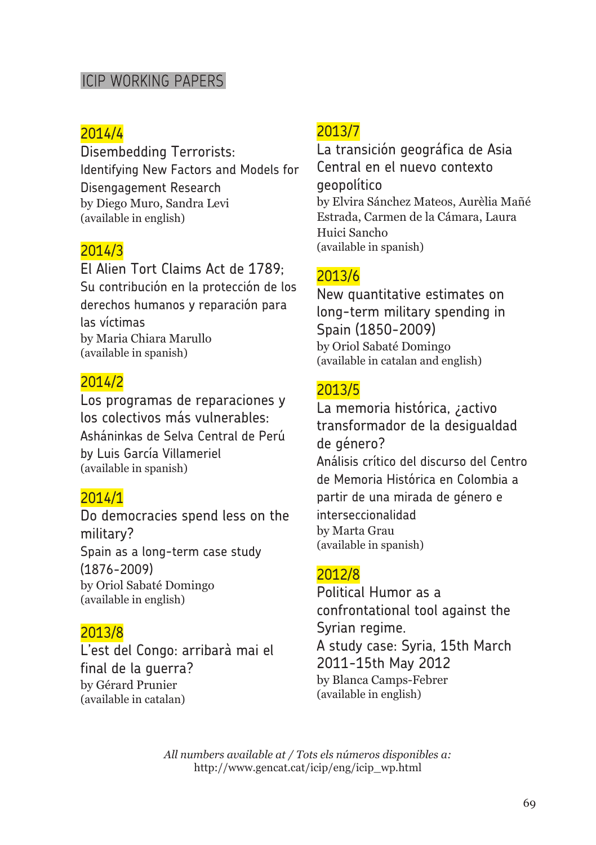#### ICIP WORKING PAPERS

#### 2014/4

Disembedding Terrorists: Identifying New Factors and Models for Disengagement Research by Diego Muro, Sandra Levi (available in english)

#### 2014/3

El Alien Tort Claims Act de 1789; Su contribución en la protección de los derechos humanos y reparación para las víctimas by Maria Chiara Marullo (available in spanish)

#### 2014/2

Los programas de reparaciones y los colectivos más vulnerables: Asháninkas de Selva Central de Perú by Luis García Villameriel (available in spanish)

#### 2014/1

Do democracies spend less on the military? Spain as a long-term case study (1876-2009) by Oriol Sabaté Domingo (available in english)

#### 2013/8

L'est del Congo: arribarà mai el final de la guerra? by Gérard Prunier (available in catalan)

#### 2013/7

La transición geográfica de Asia Central en el nuevo contexto geopolítico by Elvira Sánchez Mateos, Aurèlia Mañé Estrada, Carmen de la Cámara, Laura Huici Sancho (available in spanish)

#### 2013/6

New quantitative estimates on long-term military spending in Spain (1850-2009) by Oriol Sabaté Domingo (available in catalan and english)

#### 2013/5

La memoria histórica, ¿activo transformador de la desigualdad de género? Análisis crítico del discurso del Centro de Memoria Histórica en Colombia a partir de una mirada de género e interseccionalidad by Marta Grau (available in spanish)

#### 2012/8

Political Humor as a confrontational tool against the Syrian regime. A study case: Syria, 15th March 2011-15th May 2012 by Blanca Camps-Febrer (available in english)

*All numbers available at / Tots els números disponibles a:* http://www.gencat.cat/icip/eng/icip\_wp.html